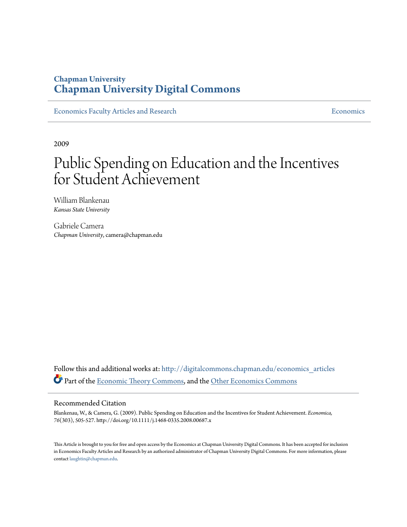# **Chapman University [Chapman University Digital Commons](http://digitalcommons.chapman.edu?utm_source=digitalcommons.chapman.edu%2Feconomics_articles%2F192&utm_medium=PDF&utm_campaign=PDFCoverPages)**

[Economics Faculty Articles and Research](http://digitalcommons.chapman.edu/economics_articles?utm_source=digitalcommons.chapman.edu%2Feconomics_articles%2F192&utm_medium=PDF&utm_campaign=PDFCoverPages) **[Economics](http://digitalcommons.chapman.edu/economics?utm_source=digitalcommons.chapman.edu%2Feconomics_articles%2F192&utm_medium=PDF&utm_campaign=PDFCoverPages)** Economics

2009

# Public Spending on Education and the Incentives for Student Achievement

William Blankenau *Kansas State University*

Gabriele Camera *Chapman University*, camera@chapman.edu

Follow this and additional works at: [http://digitalcommons.chapman.edu/economics\\_articles](http://digitalcommons.chapman.edu/economics_articles?utm_source=digitalcommons.chapman.edu%2Feconomics_articles%2F192&utm_medium=PDF&utm_campaign=PDFCoverPages) Part of the [Economic Theory Commons,](http://network.bepress.com/hgg/discipline/344?utm_source=digitalcommons.chapman.edu%2Feconomics_articles%2F192&utm_medium=PDF&utm_campaign=PDFCoverPages) and the [Other Economics Commons](http://network.bepress.com/hgg/discipline/353?utm_source=digitalcommons.chapman.edu%2Feconomics_articles%2F192&utm_medium=PDF&utm_campaign=PDFCoverPages)

# Recommended Citation

Blankenau, W., & Camera, G. (2009). Public Spending on Education and the Incentives for Student Achievement. *Economica, 76*(303), 505-527. http://doi.org/10.1111/j.1468-0335.2008.00687.x

This Article is brought to you for free and open access by the Economics at Chapman University Digital Commons. It has been accepted for inclusion in Economics Faculty Articles and Research by an authorized administrator of Chapman University Digital Commons. For more information, please contact [laughtin@chapman.edu](mailto:laughtin@chapman.edu).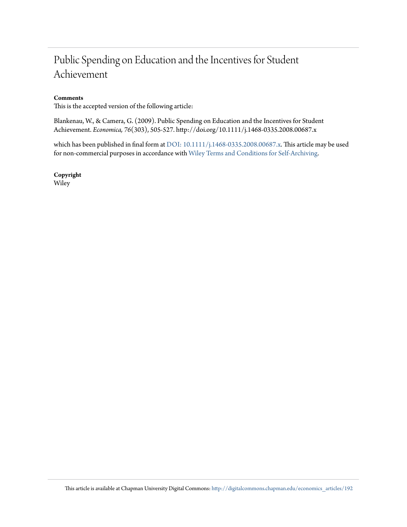# Public Spending on Education and the Incentives for Student Achievement

# **Comments**

This is the accepted version of the following article:

Blankenau, W., & Camera, G. (2009). Public Spending on Education and the Incentives for Student Achievement. *Economica, 76*(303), 505-527. http://doi.org/10.1111/j.1468-0335.2008.00687.x

which has been published in final form at [DOI: 10.1111/j.1468-0335.2008.00687.x](http://dx.doi.org/10.1111/j.1468-0335.2008.00687.x). This article may be used for non-commercial purposes in accordance with [Wiley Terms and Conditions for Self-Archiving.](http://olabout.wiley.com/WileyCDA/Section/id-820227.html#terms)

**Copyright** Wiley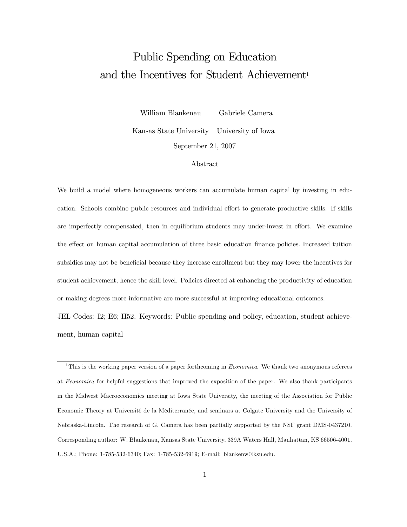# Public Spending on Education and the Incentives for Student Achievement<sup>1</sup>

William Blankenau Gabriele Camera Kansas State University University of Iowa September 21, 2007

#### Abstract

We build a model where homogeneous workers can accumulate human capital by investing in education. Schools combine public resources and individual effort to generate productive skills. If skills are imperfectly compensated, then in equilibrium students may under-invest in effort. We examine the effect on human capital accumulation of three basic education finance policies. Increased tuition subsidies may not be beneficial because they increase enrollment but they may lower the incentives for student achievement, hence the skill level. Policies directed at enhancing the productivity of education or making degrees more informative are more successful at improving educational outcomes.

JEL Codes: I2; E6; H52. Keywords: Public spending and policy, education, student achievement, human capital

<sup>1</sup>This is the working paper version of a paper forthcoming in *Economica*. We thank two anonymous referees at Economica for helpful suggestions that improved the exposition of the paper. We also thank participants in the Midwest Macroeconomics meeting at Iowa State University, the meeting of the Association for Public Economic Theory at Université de la Méditerranée, and seminars at Colgate University and the University of Nebraska-Lincoln. The research of G. Camera has been partially supported by the NSF grant DMS-0437210. Corresponding author: W. Blankenau, Kansas State University, 339A Waters Hall, Manhattan, KS 66506-4001, U.S.A.; Phone: 1-785-532-6340; Fax: 1-785-532-6919; E-mail: blankenw@ksu.edu.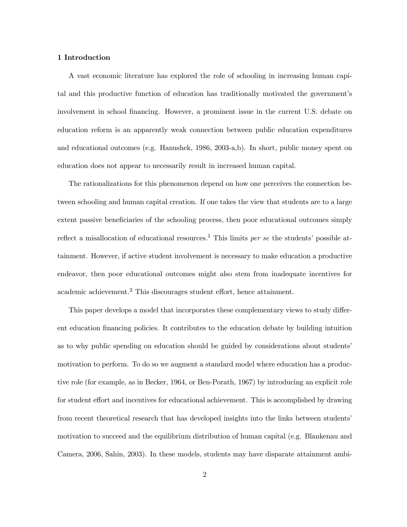#### 1 Introduction

A vast economic literature has explored the role of schooling in increasing human capital and this productive function of education has traditionally motivated the government's involvement in school financing. However, a prominent issue in the current U.S. debate on education reform is an apparently weak connection between public education expenditures and educational outcomes (e.g. Hanushek, 1986, 2003-a,b). In short, public money spent on education does not appear to necessarily result in increased human capital.

The rationalizations for this phenomenon depend on how one perceives the connection between schooling and human capital creation. If one takes the view that students are to a large extent passive beneficiaries of the schooling process, then poor educational outcomes simply reflect a misallocation of educational resources.<sup>1</sup> This limits per se the students' possible attainment. However, if active student involvement is necessary to make education a productive endeavor, then poor educational outcomes might also stem from inadequate incentives for academic achievement.<sup>2</sup> This discourages student effort, hence attainment.

This paper develops a model that incorporates these complementary views to study different education financing policies. It contributes to the education debate by building intuition as to why public spending on education should be guided by considerations about students' motivation to perform. To do so we augment a standard model where education has a productive role (for example, as in Becker, 1964, or Ben-Porath, 1967) by introducing an explicit role for student effort and incentives for educational achievement. This is accomplished by drawing from recent theoretical research that has developed insights into the links between students' motivation to succeed and the equilibrium distribution of human capital (e.g. Blankenau and Camera, 2006, Sahin, 2003). In these models, students may have disparate attainment ambi-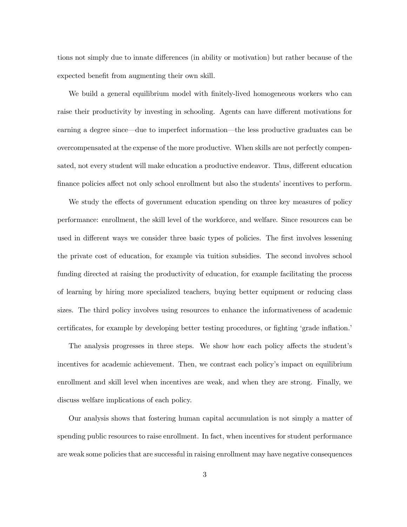tions not simply due to innate differences (in ability or motivation) but rather because of the expected benefit from augmenting their own skill.

We build a general equilibrium model with finitely-lived homogeneous workers who can raise their productivity by investing in schooling. Agents can have different motivations for earning a degree since–due to imperfect information–the less productive graduates can be overcompensated at the expense of the more productive. When skills are not perfectly compensated, not every student will make education a productive endeavor. Thus, different education finance policies affect not only school enrollment but also the students' incentives to perform.

We study the effects of government education spending on three key measures of policy performance: enrollment, the skill level of the workforce, and welfare. Since resources can be used in different ways we consider three basic types of policies. The first involves lessening the private cost of education, for example via tuition subsidies. The second involves school funding directed at raising the productivity of education, for example facilitating the process of learning by hiring more specialized teachers, buying better equipment or reducing class sizes. The third policy involves using resources to enhance the informativeness of academic certificates, for example by developing better testing procedures, or fighting 'grade inflation.'

The analysis progresses in three steps. We show how each policy affects the student's incentives for academic achievement. Then, we contrast each policy's impact on equilibrium enrollment and skill level when incentives are weak, and when they are strong. Finally, we discuss welfare implications of each policy.

Our analysis shows that fostering human capital accumulation is not simply a matter of spending public resources to raise enrollment. In fact, when incentives for student performance are weak some policies that are successful in raising enrollment may have negative consequences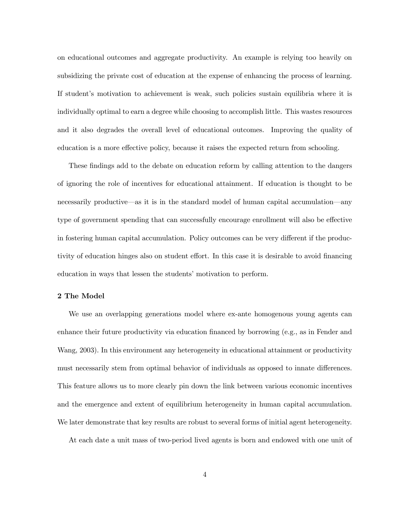on educational outcomes and aggregate productivity. An example is relying too heavily on subsidizing the private cost of education at the expense of enhancing the process of learning. If student's motivation to achievement is weak, such policies sustain equilibria where it is individually optimal to earn a degree while choosing to accomplish little. This wastes resources and it also degrades the overall level of educational outcomes. Improving the quality of education is a more effective policy, because it raises the expected return from schooling.

These findings add to the debate on education reform by calling attention to the dangers of ignoring the role of incentives for educational attainment. If education is thought to be necessarily productive–as it is in the standard model of human capital accumulation–any type of government spending that can successfully encourage enrollment will also be effective in fostering human capital accumulation. Policy outcomes can be very different if the productivity of education hinges also on student effort. In this case it is desirable to avoid financing education in ways that lessen the students' motivation to perform.

# 2 The Model

We use an overlapping generations model where ex-ante homogenous young agents can enhance their future productivity via education financed by borrowing (e.g., as in Fender and Wang, 2003). In this environment any heterogeneity in educational attainment or productivity must necessarily stem from optimal behavior of individuals as opposed to innate differences. This feature allows us to more clearly pin down the link between various economic incentives and the emergence and extent of equilibrium heterogeneity in human capital accumulation. We later demonstrate that key results are robust to several forms of initial agent heterogeneity.

At each date a unit mass of two-period lived agents is born and endowed with one unit of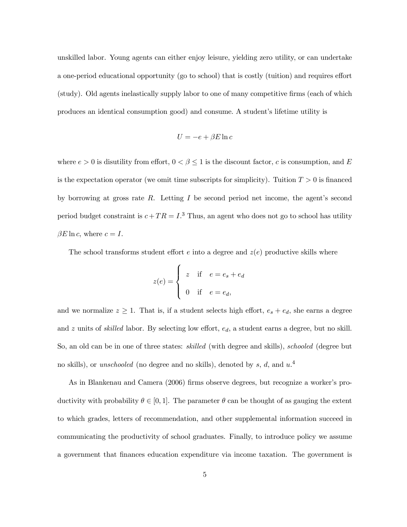unskilled labor. Young agents can either enjoy leisure, yielding zero utility, or can undertake a one-period educational opportunity (go to school) that is costly (tuition) and requires effort (study). Old agents inelastically supply labor to one of many competitive firms (each of which produces an identical consumption good) and consume. A student's lifetime utility is

$$
U = -e + \beta E \ln c
$$

where  $e > 0$  is disutility from effort,  $0 < \beta \leq 1$  is the discount factor, c is consumption, and E is the expectation operator (we omit time subscripts for simplicity). Tuition  $T > 0$  is financed by borrowing at gross rate  $R$ . Letting  $I$  be second period net income, the agent's second period budget constraint is  $c+TR = I$ .<sup>3</sup> Thus, an agent who does not go to school has utility  $\beta E \ln c$ , where  $c = I$ .

The school transforms student effort  $e$  into a degree and  $z(e)$  productive skills where

$$
z(e) = \begin{cases} z & \text{if } e = e_s + e_d \\ 0 & \text{if } e = e_d, \end{cases}
$$

and we normalize  $z \geq 1$ . That is, if a student selects high effort,  $e_s + e_d$ , she earns a degree and  $z$  units of *skilled* labor. By selecting low effort,  $e_d$ , a student earns a degree, but no skill. So, an old can be in one of three states: skilled (with degree and skills), schooled (degree but no skills), or *unschooled* (no degree and no skills), denoted by s, d, and  $u$ .<sup>4</sup>

As in Blankenau and Camera (2006) firms observe degrees, but recognize a worker's productivity with probability  $\theta \in [0, 1]$ . The parameter  $\theta$  can be thought of as gauging the extent to which grades, letters of recommendation, and other supplemental information succeed in communicating the productivity of school graduates. Finally, to introduce policy we assume a government that finances education expenditure via income taxation. The government is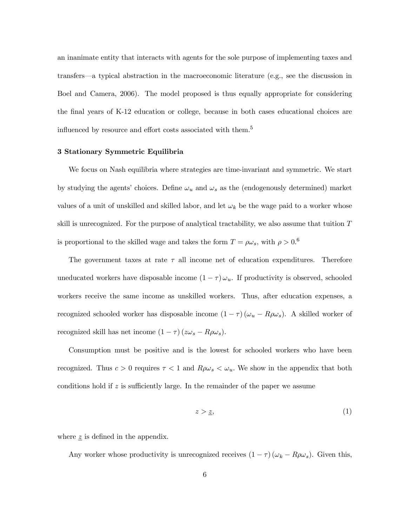an inanimate entity that interacts with agents for the sole purpose of implementing taxes and transfers–a typical abstraction in the macroeconomic literature (e.g., see the discussion in Boel and Camera, 2006). The model proposed is thus equally appropriate for considering the final years of K-12 education or college, because in both cases educational choices are influenced by resource and effort costs associated with them.<sup>5</sup>

# 3 Stationary Symmetric Equilibria

We focus on Nash equilibria where strategies are time-invariant and symmetric. We start by studying the agents' choices. Define  $\omega_u$  and  $\omega_s$  as the (endogenously determined) market values of a unit of unskilled and skilled labor, and let  $\omega_k$  be the wage paid to a worker whose skill is unrecognized. For the purpose of analytical tractability, we also assume that tuition  $T$ is proportional to the skilled wage and takes the form  $T = \rho \omega_s$ , with  $\rho > 0.6$ 

The government taxes at rate  $\tau$  all income net of education expenditures. Therefore uneducated workers have disposable income  $(1 - \tau) \omega_u$ . If productivity is observed, schooled workers receive the same income as unskilled workers. Thus, after education expenses, a recognized schooled worker has disposable income  $(1 - \tau) (\omega_u - R \rho \omega_s)$ . A skilled worker of recognized skill has net income  $(1-\tau)\left(z\omega_s-R\rho\omega_s\right)$ .

Consumption must be positive and is the lowest for schooled workers who have been recognized. Thus  $c > 0$  requires  $\tau < 1$  and  $R\rho\omega_s < \omega_u$ . We show in the appendix that both conditions hold if  $z$  is sufficiently large. In the remainder of the paper we assume

$$
z > \underline{z},\tag{1}
$$

where  $\underline{z}$  is defined in the appendix.

Any worker whose productivity is unrecognized receives  $(1 - \tau) (\omega_k - R \rho \omega_s)$ . Given this,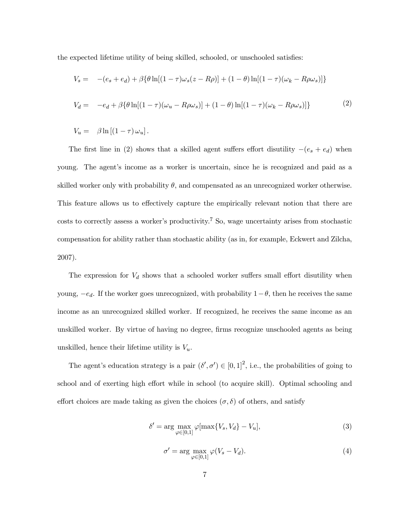the expected lifetime utility of being skilled, schooled, or unschooled satisfies:

$$
V_s = -(e_s + e_d) + \beta \{\theta \ln[(1 - \tau)\omega_s(z - R\rho)] + (1 - \theta) \ln[(1 - \tau)(\omega_k - R\rho\omega_s)]\}
$$
  

$$
V_d = -e_d + \beta \{\theta \ln[(1 - \tau)(\omega_u - R\rho\omega_s)] + (1 - \theta) \ln[(1 - \tau)(\omega_k - R\rho\omega_s)]\}
$$
(2)

 $V_u = \beta \ln \left[ (1 - \tau) \omega_u \right].$ 

The first line in (2) shows that a skilled agent suffers effort disutility  $-(e_s + e_d)$  when young. The agent's income as a worker is uncertain, since he is recognized and paid as a skilled worker only with probability  $\theta$ , and compensated as an unrecognized worker otherwise. This feature allows us to effectively capture the empirically relevant notion that there are costs to correctly assess a worker's productivity.<sup>7</sup> So, wage uncertainty arises from stochastic compensation for ability rather than stochastic ability (as in, for example, Eckwert and Zilcha, 2007).

The expression for  $V_d$  shows that a schooled worker suffers small effort disutility when young,  $-e_d$ . If the worker goes unrecognized, with probability  $1-\theta$ , then he receives the same income as an unrecognized skilled worker. If recognized, he receives the same income as an unskilled worker. By virtue of having no degree, firms recognize unschooled agents as being unskilled, hence their lifetime utility is  $V_u$ .

The agent's education strategy is a pair  $(\delta', \sigma') \in [0, 1]^2$ , i.e., the probabilities of going to school and of exerting high effort while in school (to acquire skill). Optimal schooling and effort choices are made taking as given the choices  $(\sigma, \delta)$  of others, and satisfy

$$
\delta' = \arg\max_{\varphi \in [0,1]} \varphi[\max\{V_s, V_d\} - V_u],\tag{3}
$$

$$
\sigma' = \arg \max_{\varphi \in [0,1]} \varphi(V_s - V_d). \tag{4}
$$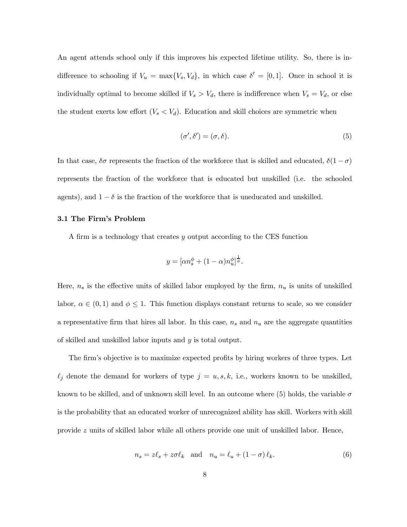An agent attends school only if this improves his expected lifetime utility. So, there is indifference to schooling if  $V_u = \max\{V_s, V_d\}$ , in which case  $\delta' = [0, 1]$ . Once in school it is individually optimal to become skilled if  $V_s > V_d$ , there is indifference when  $V_s = V_d$ , or else the student exerts low effort  $(V_s < V_d)$ . Education and skill choices are symmetric when

$$
(\sigma', \delta') = (\sigma, \delta). \tag{5}
$$

In that case,  $\delta\sigma$  represents the fraction of the workforce that is skilled and educated,  $\delta(1-\sigma)$ represents the fraction of the workforce that is educated but unskilled (i.e. the schooled agents), and  $1 - \delta$  is the fraction of the workforce that is uneducated and unskilled.

### 3.1 The Firm's Problem

A firm is a technology that creates y output according to the CES function

$$
y = [\alpha n_s^{\phi} + (1 - \alpha)n_u^{\phi}]^{\frac{1}{\phi}}.
$$

Here,  $n_s$  is the effective units of skilled labor employed by the firm,  $n_u$  is units of unskilled labor,  $\alpha \in (0,1)$  and  $\phi \leq 1$ . This function displays constant returns to scale, so we consider a representative firm that hires all labor. In this case,  $n_s$  and  $n_u$  are the aggregate quantities of skilled and unskilled labor inputs and y is total output.

The firm's objective is to maximize expected profits by hiring workers of three types. Let  $\ell_j$  denote the demand for workers of type  $j = u, s, k$ , i.e., workers known to be unskilled, known to be skilled, and of unknown skill level. In an outcome where (5) holds, the variable  $\sigma$ is the probability that an educated worker of unrecognized ability has skill. Workers with skill provide z units of skilled labor while all others provide one unit of unskilled labor. Hence,

$$
n_s = z\ell_s + z\sigma\ell_k \quad \text{and} \quad n_u = \ell_u + (1 - \sigma)\ell_k. \tag{6}
$$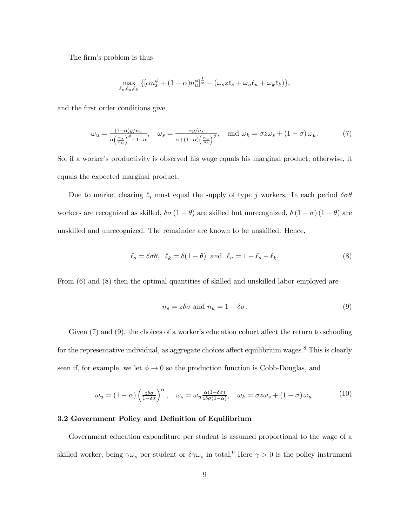The firm's problem is thus

$$
\max_{\ell_s,\ell_u,\ell_k} \left\{ \left[ \alpha n_s^{\phi} + (1-\alpha) n_u^{\phi} \right]^{\frac{1}{\phi}} - \left( \omega_s z \ell_s + \omega_u \ell_u + \omega_k \ell_k \right) \right\},\
$$

and the first order conditions give

$$
\omega_u = \frac{(1-\alpha)y/n_u}{\alpha \left(\frac{n_s}{n_u}\right)^{\phi} + 1 - \alpha}, \quad \omega_s = \frac{\alpha y/n_s}{\alpha + (1-\alpha) \left(\frac{n_u}{n_s}\right)^{\phi}}, \quad \text{and } \omega_k = \sigma z \omega_s + (1-\sigma)\omega_u. \tag{7}
$$

So, if a worker's productivity is observed his wage equals his marginal product; otherwise, it equals the expected marginal product.

Due to market clearing  $\ell_j$  must equal the supply of type j workers. In each period  $\delta \sigma \theta$ workers are recognized as skilled,  $\delta\sigma(1-\theta)$  are skilled but unrecognized,  $\delta(1-\sigma)(1-\theta)$  are unskilled and unrecognized. The remainder are known to be unskilled. Hence,

$$
\ell_s = \delta \sigma \theta, \quad \ell_k = \delta(1 - \theta) \quad \text{and} \quad \ell_u = 1 - \ell_s - \ell_k. \tag{8}
$$

From (6) and (8) then the optimal quantities of skilled and unskilled labor employed are

$$
n_s = z\delta\sigma \text{ and } n_u = 1 - \delta\sigma. \tag{9}
$$

Given  $(7)$  and  $(9)$ , the choices of a worker's education cohort affect the return to schooling for the representative individual, as aggregate choices affect equilibrium wages.<sup>8</sup> This is clearly seen if, for example, we let  $\phi \to 0$  so the production function is Cobb-Douglas, and

$$
\omega_u = (1 - \alpha) \left(\frac{z\delta\sigma}{1 - \delta\sigma}\right)^{\alpha}, \quad \omega_s = \omega_u \frac{\alpha(1 - \delta\sigma)}{z\delta\sigma(1 - \alpha)}, \quad \omega_k = \sigma z \omega_s + (1 - \sigma) \omega_u. \tag{10}
$$

# 3.2 Government Policy and Definition of Equilibrium

Government education expenditure per student is assumed proportional to the wage of a skilled worker, being  $\gamma\omega_s$  per student or  $\delta\gamma\omega_s$  in total.<sup>9</sup> Here  $\gamma > 0$  is the policy instrument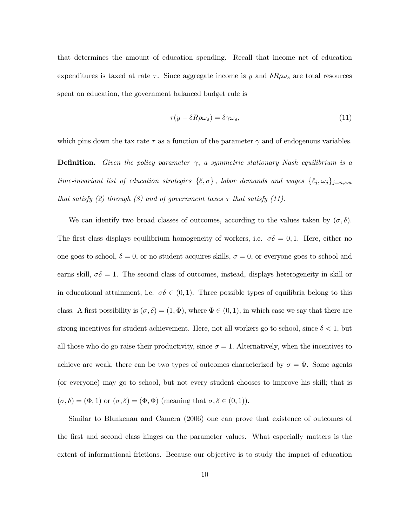that determines the amount of education spending. Recall that income net of education expenditures is taxed at rate  $\tau$ . Since aggregate income is y and  $\delta R \rho \omega_s$  are total resources spent on education, the government balanced budget rule is

$$
\tau(y - \delta R \rho \omega_s) = \delta \gamma \omega_s,\tag{11}
$$

which pins down the tax rate  $\tau$  as a function of the parameter  $\gamma$  and of endogenous variables.

**Definition.** Given the policy parameter  $\gamma$ , a symmetric stationary Nash equilibrium is a time-invariant list of education strategies  $\{\delta, \sigma\}$ , labor demands and wages  $\{\ell_j, \omega_j\}_{j=n,s,u}$ that satisfy (2) through (8) and of government taxes  $\tau$  that satisfy (11).

We can identify two broad classes of outcomes, according to the values taken by  $(\sigma, \delta)$ . The first class displays equilibrium homogeneity of workers, i.e.  $\sigma \delta = 0, 1$ . Here, either no one goes to school,  $\delta = 0$ , or no student acquires skills,  $\sigma = 0$ , or everyone goes to school and earns skill,  $\sigma\delta = 1$ . The second class of outcomes, instead, displays heterogeneity in skill or in educational attainment, i.e.  $\sigma\delta \in (0,1)$ . Three possible types of equilibria belong to this class. A first possibility is  $(\sigma, \delta) = (1, \Phi)$ , where  $\Phi \in (0, 1)$ , in which case we say that there are strong incentives for student achievement. Here, not all workers go to school, since  $\delta < 1$ , but all those who do go raise their productivity, since  $\sigma = 1$ . Alternatively, when the incentives to achieve are weak, there can be two types of outcomes characterized by  $\sigma = \Phi$ . Some agents (or everyone) may go to school, but not every student chooses to improve his skill; that is  $(\sigma, \delta) = (\Phi, 1)$  or  $(\sigma, \delta) = (\Phi, \Phi)$  (meaning that  $\sigma, \delta \in (0, 1)$ ).

Similar to Blankenau and Camera (2006) one can prove that existence of outcomes of the first and second class hinges on the parameter values. What especially matters is the extent of informational frictions. Because our objective is to study the impact of education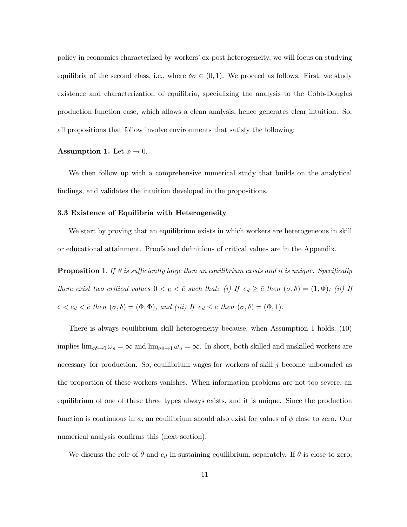policy in economies characterized by workers' ex-post heterogeneity, we will focus on studying equilibria of the second class, i.e., where  $\delta \sigma \in (0,1)$ . We proceed as follows. First, we study existence and characterization of equilibria, specializing the analysis to the Cobb-Douglas production function case, which allows a clean analysis, hence generates clear intuition. So, all propositions that follow involve environments that satisfy the following:

#### **Assumption 1.** Let  $\phi \rightarrow 0$ .

We then follow up with a comprehensive numerical study that builds on the analytical findings, and validates the intuition developed in the propositions.

# 3.3 Existence of Equilibria with Heterogeneity

We start by proving that an equilibrium exists in which workers are heterogeneous in skill or educational attainment. Proofs and definitions of critical values are in the Appendix.

**Proposition 1.** If  $\theta$  is sufficiently large then an equilibrium exists and it is unique. Specifically there exist two critical values  $0 < \underline{e} < \overline{e}$  such that: (i) If  $e_d \geq \overline{e}$  then  $(\sigma, \delta) = (1, \Phi)$ ; (ii) If  $\underline{e} < e_d < \overline{e}$  then  $(\sigma, \delta) = (\Phi, \Phi)$ , and (iii) If  $e_d \leq \underline{e}$  then  $(\sigma, \delta) = (\Phi, 1)$ .

There is always equilibrium skill heterogeneity because, when Assumption 1 holds, (10) implies  $\lim_{\sigma\delta\to 0}\omega_s = \infty$  and  $\lim_{\sigma\delta\to 1}\omega_u = \infty$ . In short, both skilled and unskilled workers are necessary for production. So, equilibrium wages for workers of skill  $j$  become unbounded as the proportion of these workers vanishes. When information problems are not too severe, an equilibrium of one of these three types always exists, and it is unique. Since the production function is continuous in  $\phi$ , an equilibrium should also exist for values of  $\phi$  close to zero. Our numerical analysis confirms this (next section).

We discuss the role of  $\theta$  and  $e_d$  in sustaining equilibrium, separately. If  $\theta$  is close to zero,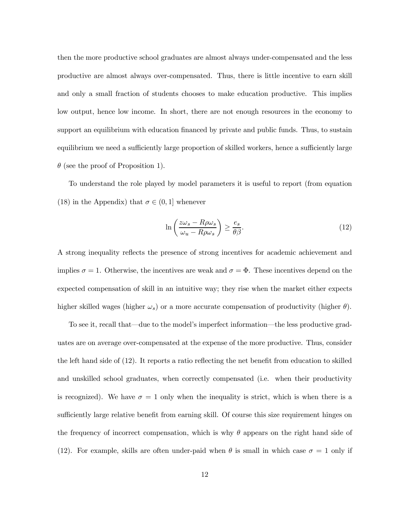then the more productive school graduates are almost always under-compensated and the less productive are almost always over-compensated. Thus, there is little incentive to earn skill and only a small fraction of students chooses to make education productive. This implies low output, hence low income. In short, there are not enough resources in the economy to support an equilibrium with education financed by private and public funds. Thus, to sustain equilibrium we need a sufficiently large proportion of skilled workers, hence a sufficiently large  $\theta$  (see the proof of Proposition 1).

To understand the role played by model parameters it is useful to report (from equation (18) in the Appendix) that  $\sigma \in (0,1]$  whenever

$$
\ln\left(\frac{z\omega_s - R\rho\omega_s}{\omega_u - R\rho\omega_s}\right) \ge \frac{e_s}{\theta\beta}.\tag{12}
$$

A strong inequality reflects the presence of strong incentives for academic achievement and implies  $\sigma = 1$ . Otherwise, the incentives are weak and  $\sigma = \Phi$ . These incentives depend on the expected compensation of skill in an intuitive way; they rise when the market either expects higher skilled wages (higher  $\omega_s$ ) or a more accurate compensation of productivity (higher  $\theta$ ).

To see it, recall that–due to the model's imperfect information–the less productive graduates are on average over-compensated at the expense of the more productive. Thus, consider the left hand side of (12). It reports a ratio reflecting the net benefit from education to skilled and unskilled school graduates, when correctly compensated (i.e. when their productivity is recognized). We have  $\sigma = 1$  only when the inequality is strict, which is when there is a sufficiently large relative benefit from earning skill. Of course this size requirement hinges on the frequency of incorrect compensation, which is why  $\theta$  appears on the right hand side of (12). For example, skills are often under-paid when  $\theta$  is small in which case  $\sigma = 1$  only if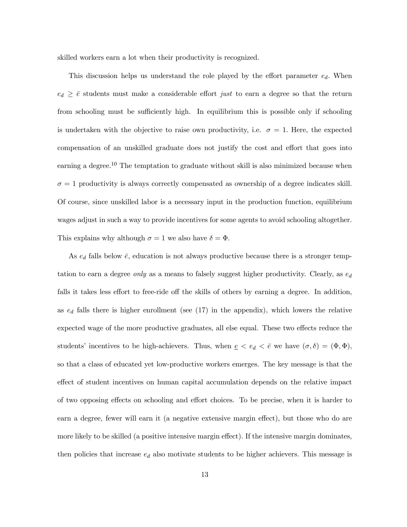skilled workers earn a lot when their productivity is recognized.

This discussion helps us understand the role played by the effort parameter  $e_d$ . When  $e_d \geq \bar{e}$  students must make a considerable effort just to earn a degree so that the return from schooling must be sufficiently high. In equilibrium this is possible only if schooling is undertaken with the objective to raise own productivity, i.e.  $\sigma = 1$ . Here, the expected compensation of an unskilled graduate does not justify the cost and effort that goes into earning a degree.<sup>10</sup> The temptation to graduate without skill is also minimized because when  $\sigma = 1$  productivity is always correctly compensated as ownership of a degree indicates skill. Of course, since unskilled labor is a necessary input in the production function, equilibrium wages adjust in such a way to provide incentives for some agents to avoid schooling altogether. This explains why although  $\sigma = 1$  we also have  $\delta = \Phi$ .

As  $e_d$  falls below  $\bar{e}$ , education is not always productive because there is a stronger temptation to earn a degree only as a means to falsely suggest higher productivity. Clearly, as  $e_d$ falls it takes less effort to free-ride off the skills of others by earning a degree. In addition, as  $e_d$  falls there is higher enrollment (see (17) in the appendix), which lowers the relative expected wage of the more productive graduates, all else equal. These two effects reduce the students' incentives to be high-achievers. Thus, when  $\underline{e} < e_d < \overline{e}$  we have  $(\sigma, \delta) = (\Phi, \Phi)$ , so that a class of educated yet low-productive workers emerges. The key message is that the effect of student incentives on human capital accumulation depends on the relative impact of two opposing effects on schooling and effort choices. To be precise, when it is harder to earn a degree, fewer will earn it (a negative extensive margin effect), but those who do are more likely to be skilled (a positive intensive margin effect). If the intensive margin dominates, then policies that increase  $e_d$  also motivate students to be higher achievers. This message is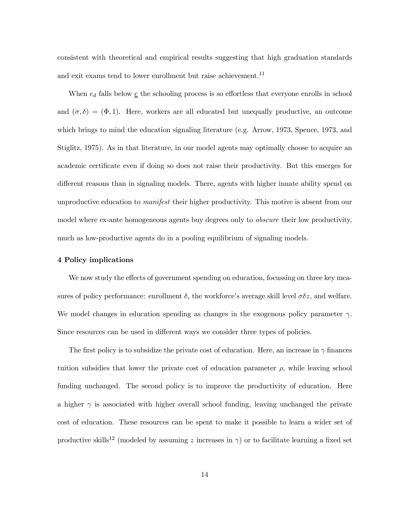consistent with theoretical and empirical results suggesting that high graduation standards and exit exams tend to lower enrollment but raise achievement.<sup>11</sup>

When  $e_d$  falls below  $\underline{e}$  the schooling process is so effortless that everyone enrolls in school and  $(\sigma, \delta) = (\Phi, 1)$ . Here, workers are all educated but unequally productive, an outcome which brings to mind the education signaling literature (e.g. Arrow, 1973, Spence, 1973, and Stiglitz, 1975). As in that literature, in our model agents may optimally choose to acquire an academic certificate even if doing so does not raise their productivity. But this emerges for different reasons than in signaling models. There, agents with higher innate ability spend on unproductive education to manifest their higher productivity. This motive is absent from our model where ex-ante homogeneous agents buy degrees only to *obscure* their low productivity, much as low-productive agents do in a pooling equilibrium of signaling models.

#### 4 Policy implications

We now study the effects of government spending on education, focussing on three key measures of policy performance: enrollment  $\delta$ , the workforce's average skill level  $\sigma \delta z$ , and welfare. We model changes in education spending as changes in the exogenous policy parameter  $\gamma$ . Since resources can be used in different ways we consider three types of policies.

The first policy is to subsidize the private cost of education. Here, an increase in  $\gamma$  finances tuition subsidies that lower the private cost of education parameter  $\rho$ , while leaving school funding unchanged. The second policy is to improve the productivity of education. Here a higher  $\gamma$  is associated with higher overall school funding, leaving unchanged the private cost of education. These resources can be spent to make it possible to learn a wider set of productive skills<sup>12</sup> (modeled by assuming z increases in  $\gamma$ ) or to facilitate learning a fixed set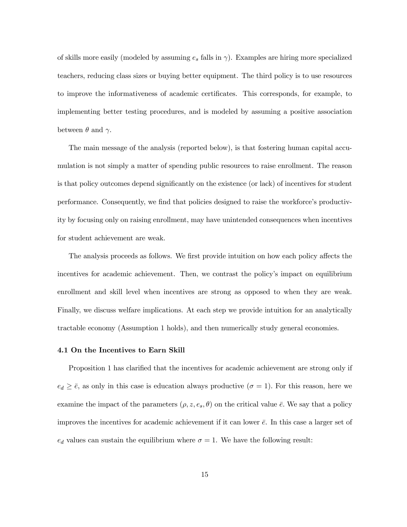of skills more easily (modeled by assuming  $e_s$  falls in  $\gamma$ ). Examples are hiring more specialized teachers, reducing class sizes or buying better equipment. The third policy is to use resources to improve the informativeness of academic certificates. This corresponds, for example, to implementing better testing procedures, and is modeled by assuming a positive association between  $\theta$  and  $\gamma$ .

The main message of the analysis (reported below), is that fostering human capital accumulation is not simply a matter of spending public resources to raise enrollment. The reason is that policy outcomes depend significantly on the existence (or lack) of incentives for student performance. Consequently, we find that policies designed to raise the workforce's productivity by focusing only on raising enrollment, may have unintended consequences when incentives for student achievement are weak.

The analysis proceeds as follows. We first provide intuition on how each policy affects the incentives for academic achievement. Then, we contrast the policy's impact on equilibrium enrollment and skill level when incentives are strong as opposed to when they are weak. Finally, we discuss welfare implications. At each step we provide intuition for an analytically tractable economy (Assumption 1 holds), and then numerically study general economies.

#### 4.1 On the Incentives to Earn Skill

Proposition 1 has clarified that the incentives for academic achievement are strong only if  $e_d \geq \bar{e}$ , as only in this case is education always productive  $(\sigma = 1)$ . For this reason, here we examine the impact of the parameters  $(\rho, z, e_s, \theta)$  on the critical value  $\bar{e}$ . We say that a policy improves the incentives for academic achievement if it can lower  $\bar{e}$ . In this case a larger set of  $e_d$  values can sustain the equilibrium where  $\sigma = 1$ . We have the following result: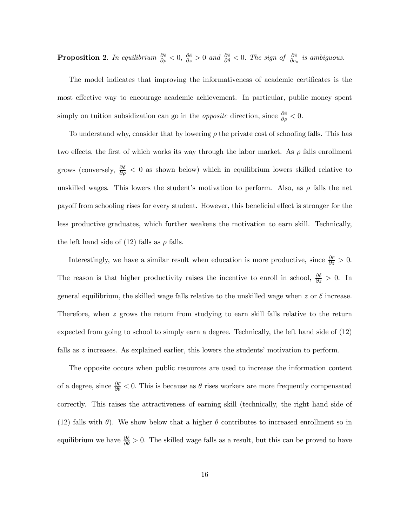**Proposition 2.** In equilibrium  $\frac{\partial \bar{e}}{\partial \rho} < 0$ ,  $\frac{\partial \bar{e}}{\partial z} > 0$  and  $\frac{\partial \bar{e}}{\partial \theta} < 0$ . The sign of  $\frac{\partial \bar{e}}{\partial e_s}$  is ambiguous.

The model indicates that improving the informativeness of academic certificates is the most effective way to encourage academic achievement. In particular, public money spent simply on tuition subsidization can go in the *opposite* direction, since  $\frac{\partial \bar{\epsilon}}{\partial \rho} < 0$ .

To understand why, consider that by lowering  $\rho$  the private cost of schooling falls. This has two effects, the first of which works its way through the labor market. As  $\rho$  falls enrollment grows (conversely,  $\frac{\partial \delta}{\partial \rho} < 0$  as shown below) which in equilibrium lowers skilled relative to unskilled wages. This lowers the student's motivation to perform. Also, as  $\rho$  falls the net payoff from schooling rises for every student. However, this beneficial effect is stronger for the less productive graduates, which further weakens the motivation to earn skill. Technically, the left hand side of (12) falls as  $\rho$  falls.

Interestingly, we have a similar result when education is more productive, since  $\frac{\partial \bar{\epsilon}}{\partial z} > 0$ . The reason is that higher productivity raises the incentive to enroll in school,  $\frac{\partial \delta}{\partial z} > 0$ . In general equilibrium, the skilled wage falls relative to the unskilled wage when z or  $\delta$  increase. Therefore, when  $z$  grows the return from studying to earn skill falls relative to the return expected from going to school to simply earn a degree. Technically, the left hand side of (12) falls as z increases. As explained earlier, this lowers the students' motivation to perform.

The opposite occurs when public resources are used to increase the information content of a degree, since  $\frac{\partial \bar{\epsilon}}{\partial \theta} < 0$ . This is because as  $\theta$  rises workers are more frequently compensated correctly. This raises the attractiveness of earning skill (technically, the right hand side of (12) falls with  $\theta$ ). We show below that a higher  $\theta$  contributes to increased enrollment so in equilibrium we have  $\frac{\partial \delta}{\partial \theta} > 0$ . The skilled wage falls as a result, but this can be proved to have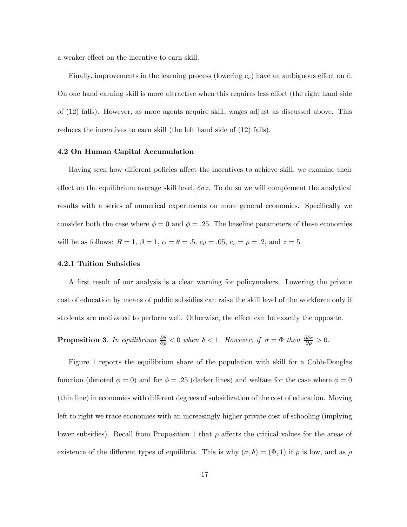a weaker effect on the incentive to earn skill.

Finally, improvements in the learning process (lowering  $e_s$ ) have an ambiguous effect on  $\bar{e}$ . On one hand earning skill is more attractive when this requires less effort (the right hand side of (12) falls). However, as more agents acquire skill, wages adjust as discussed above. This reduces the incentives to earn skill (the left hand side of (12) falls).

# 4.2 On Human Capital Accumulation

Having seen how different policies affect the incentives to achieve skill, we examine their effect on the equilibrium average skill level,  $\delta \sigma z$ . To do so we will complement the analytical results with a series of numerical experiments on more general economies. Specifically we consider both the case where  $\phi = 0$  and  $\phi = .25$ . The baseline parameters of these economies will be as follows:  $R = 1, \, \beta = 1, \, \alpha = \theta = .5, \, e_d = .05, \, e_s = \rho = .2, \, \text{and } z = 5.$ 

# 4.2.1 Tuition Subsidies

A first result of our analysis is a clear warning for policymakers. Lowering the private cost of education by means of public subsidies can raise the skill level of the workforce only if students are motivated to perform well. Otherwise, the effect can be exactly the opposite.

**Proposition 3**. In equilibrium  $\frac{\partial \delta}{\partial \rho} < 0$  when  $\delta < 1$ . However, if  $\sigma = \Phi$  then  $\frac{\partial \delta \sigma}{\partial \rho} > 0$ .

Figure 1 reports the equilibrium share of the population with skill for a Cobb-Douglas function (denoted  $\phi = 0$ ) and for  $\phi = .25$  (darker lines) and welfare for the case where  $\phi = 0$ (thin line) in economies with different degrees of subsidization of the cost of education. Moving left to right we trace economies with an increasingly higher private cost of schooling (implying lower subsidies). Recall from Proposition 1 that  $\rho$  affects the critical values for the areas of existence of the different types of equilibria. This is why  $(\sigma, \delta)=(\Phi, 1)$  if  $\rho$  is low, and as  $\rho$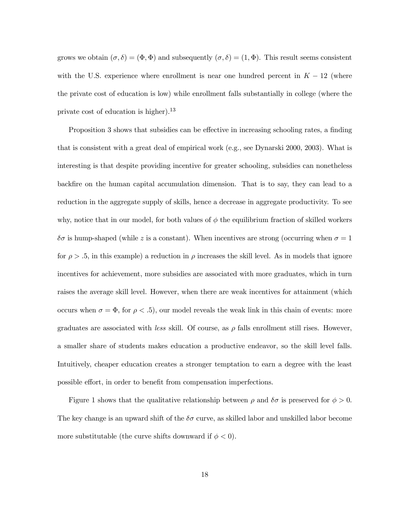grows we obtain  $(\sigma, \delta) = (\Phi, \Phi)$  and subsequently  $(\sigma, \delta) = (1, \Phi)$ . This result seems consistent with the U.S. experience where enrollment is near one hundred percent in  $K - 12$  (where the private cost of education is low) while enrollment falls substantially in college (where the private cost of education is higher).<sup>13</sup>

Proposition 3 shows that subsidies can be effective in increasing schooling rates, a finding that is consistent with a great deal of empirical work (e.g., see Dynarski 2000, 2003). What is interesting is that despite providing incentive for greater schooling, subsidies can nonetheless backfire on the human capital accumulation dimension. That is to say, they can lead to a reduction in the aggregate supply of skills, hence a decrease in aggregate productivity. To see why, notice that in our model, for both values of  $\phi$  the equilibrium fraction of skilled workers δσ is hump-shaped (while z is a constant). When incentives are strong (occurring when  $\sigma = 1$ for  $\rho > 0.5$ , in this example) a reduction in  $\rho$  increases the skill level. As in models that ignore incentives for achievement, more subsidies are associated with more graduates, which in turn raises the average skill level. However, when there are weak incentives for attainment (which occurs when  $\sigma = \Phi$ , for  $\rho < .5$ , our model reveals the weak link in this chain of events: more graduates are associated with *less* skill. Of course, as  $\rho$  falls enrollment still rises. However, a smaller share of students makes education a productive endeavor, so the skill level falls. Intuitively, cheaper education creates a stronger temptation to earn a degree with the least possible effort, in order to benefit from compensation imperfections.

Figure 1 shows that the qualitative relationship between  $\rho$  and  $\delta\sigma$  is preserved for  $\phi > 0$ . The key change is an upward shift of the  $\delta\sigma$  curve, as skilled labor and unskilled labor become more substitutable (the curve shifts downward if  $\phi < 0$ ).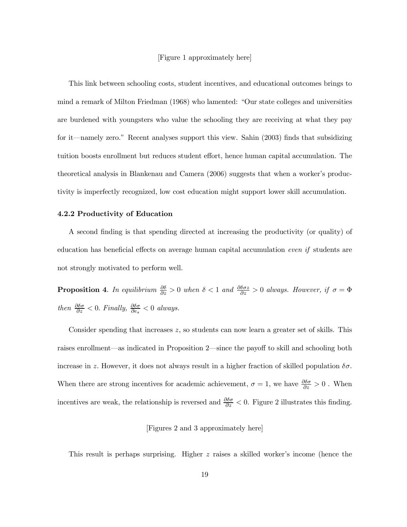#### [Figure 1 approximately here]

This link between schooling costs, student incentives, and educational outcomes brings to mind a remark of Milton Friedman (1968) who lamented: "Our state colleges and universities are burdened with youngsters who value the schooling they are receiving at what they pay for it–namely zero." Recent analyses support this view. Sahin (2003) finds that subsidizing tuition boosts enrollment but reduces student effort, hence human capital accumulation. The theoretical analysis in Blankenau and Camera (2006) suggests that when a worker's productivity is imperfectly recognized, low cost education might support lower skill accumulation.

#### 4.2.2 Productivity of Education

A second finding is that spending directed at increasing the productivity (or quality) of education has beneficial effects on average human capital accumulation even if students are not strongly motivated to perform well.

**Proposition 4**. In equilibrium  $\frac{\partial \delta}{\partial z} > 0$  when  $\delta < 1$  and  $\frac{\partial \delta \sigma z}{\partial z} > 0$  always. However, if  $\sigma = \Phi$ then  $\frac{\partial \delta \sigma}{\partial z} < 0$ . Finally,  $\frac{\partial \delta \sigma}{\partial e_s} < 0$  always.

Consider spending that increases z, so students can now learn a greater set of skills. This raises enrollment–as indicated in Proposition 2–since the payoff to skill and schooling both increase in z. However, it does not always result in a higher fraction of skilled population  $\delta\sigma$ . When there are strong incentives for academic achievement,  $\sigma = 1$ , we have  $\frac{\partial \delta \sigma}{\partial z} > 0$ . When incentives are weak, the relationship is reversed and  $\frac{\partial \delta \sigma}{\partial z} < 0$ . Figure 2 illustrates this finding.

# [Figures 2 and 3 approximately here]

This result is perhaps surprising. Higher z raises a skilled worker's income (hence the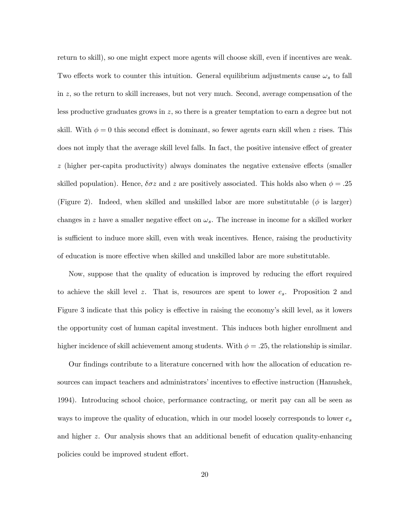return to skill), so one might expect more agents will choose skill, even if incentives are weak. Two effects work to counter this intuition. General equilibrium adjustments cause  $\omega_s$  to fall in z, so the return to skill increases, but not very much. Second, average compensation of the less productive graduates grows in z, so there is a greater temptation to earn a degree but not skill. With  $\phi = 0$  this second effect is dominant, so fewer agents earn skill when z rises. This does not imply that the average skill level falls. In fact, the positive intensive effect of greater z (higher per-capita productivity) always dominates the negative extensive effects (smaller skilled population). Hence,  $\delta \sigma z$  and z are positively associated. This holds also when  $\phi = .25$ (Figure 2). Indeed, when skilled and unskilled labor are more substitutable ( $\phi$  is larger) changes in z have a smaller negative effect on  $\omega_s$ . The increase in income for a skilled worker is sufficient to induce more skill, even with weak incentives. Hence, raising the productivity of education is more effective when skilled and unskilled labor are more substitutable.

Now, suppose that the quality of education is improved by reducing the effort required to achieve the skill level z. That is, resources are spent to lower  $e_s$ . Proposition 2 and Figure 3 indicate that this policy is effective in raising the economy's skill level, as it lowers the opportunity cost of human capital investment. This induces both higher enrollment and higher incidence of skill achievement among students. With  $\phi = .25$ , the relationship is similar.

Our findings contribute to a literature concerned with how the allocation of education resources can impact teachers and administrators' incentives to effective instruction (Hanushek, 1994). Introducing school choice, performance contracting, or merit pay can all be seen as ways to improve the quality of education, which in our model loosely corresponds to lower  $e_s$ and higher z. Our analysis shows that an additional benefit of education quality-enhancing policies could be improved student effort.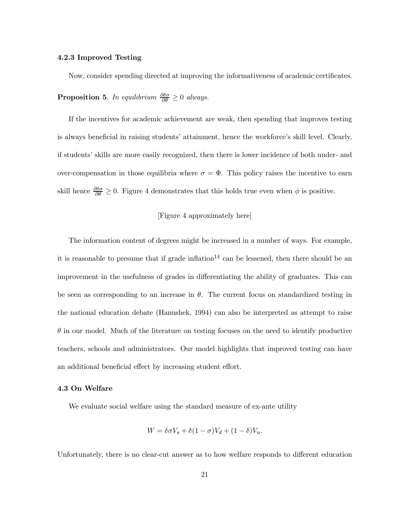#### 4.2.3 Improved Testing

Now, consider spending directed at improving the informativeness of academic certificates. **Proposition 5**. In equilibrium  $\frac{\partial \delta \sigma}{\partial \theta} \geq 0$  always.

If the incentives for academic achievement are weak, then spending that improves testing is always beneficial in raising students' attainment, hence the workforce's skill level. Clearly, if students' skills are more easily recognized, then there is lower incidence of both under- and over-compensation in those equilibria where  $\sigma = \Phi$ . This policy raises the incentive to earn skill hence  $\frac{\partial \delta \sigma}{\partial \theta} \geq 0$ . Figure 4 demonstrates that this holds true even when  $\phi$  is positive.

# [Figure 4 approximately here]

The information content of degrees might be increased in a number of ways. For example, it is reasonable to presume that if grade inflation<sup>14</sup> can be lessened, then there should be an improvement in the usefulness of grades in differentiating the ability of graduates. This can be seen as corresponding to an increase in  $\theta$ . The current focus on standardized testing in the national education debate (Hanushek, 1994) can also be interpreted as attempt to raise  $\theta$  in our model. Much of the literature on testing focuses on the need to identify productive teachers, schools and administrators. Our model highlights that improved testing can have an additional beneficial effect by increasing student effort.

#### 4.3 On Welfare

We evaluate social welfare using the standard measure of ex-ante utility

$$
W = \delta \sigma V_s + \delta (1 - \sigma) V_d + (1 - \delta) V_u.
$$

Unfortunately, there is no clear-cut answer as to how welfare responds to different education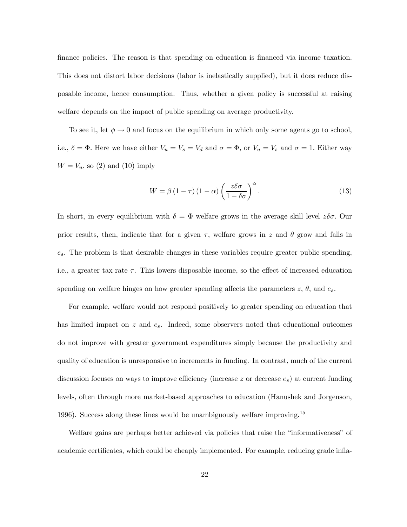finance policies. The reason is that spending on education is financed via income taxation. This does not distort labor decisions (labor is inelastically supplied), but it does reduce disposable income, hence consumption. Thus, whether a given policy is successful at raising welfare depends on the impact of public spending on average productivity.

To see it, let  $\phi \to 0$  and focus on the equilibrium in which only some agents go to school, i.e.,  $\delta = \Phi$ . Here we have either  $V_u = V_s = V_d$  and  $\sigma = \Phi$ , or  $V_u = V_s$  and  $\sigma = 1$ . Either way  $W = V_u$ , so (2) and (10) imply

$$
W = \beta (1 - \tau) (1 - \alpha) \left( \frac{z \delta \sigma}{1 - \delta \sigma} \right)^{\alpha}.
$$
 (13)

In short, in every equilibrium with  $\delta = \Phi$  welfare grows in the average skill level  $z\delta\sigma$ . Our prior results, then, indicate that for a given  $\tau$ , welfare grows in z and  $\theta$  grow and falls in  $e_s$ . The problem is that desirable changes in these variables require greater public spending, i.e., a greater tax rate  $\tau$ . This lowers disposable income, so the effect of increased education spending on welfare hinges on how greater spending affects the parameters  $z, \theta$ , and  $e_s$ .

For example, welfare would not respond positively to greater spending on education that has limited impact on  $z$  and  $e_s$ . Indeed, some observers noted that educational outcomes do not improve with greater government expenditures simply because the productivity and quality of education is unresponsive to increments in funding. In contrast, much of the current discussion focuses on ways to improve efficiency (increase  $z$  or decrease  $e_s$ ) at current funding levels, often through more market-based approaches to education (Hanushek and Jorgenson, 1996). Success along these lines would be unambiguously welfare improving.<sup>15</sup>

Welfare gains are perhaps better achieved via policies that raise the "informativeness" of academic certificates, which could be cheaply implemented. For example, reducing grade infla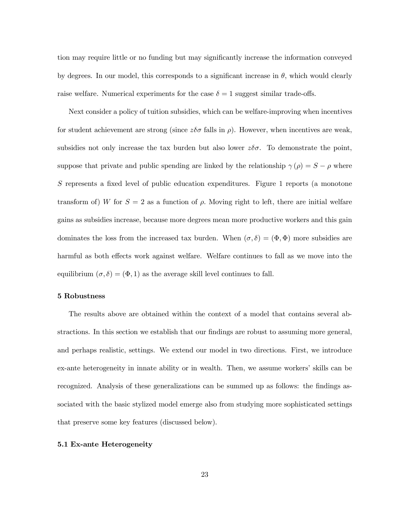tion may require little or no funding but may significantly increase the information conveyed by degrees. In our model, this corresponds to a significant increase in  $\theta$ , which would clearly raise welfare. Numerical experiments for the case  $\delta = 1$  suggest similar trade-offs.

Next consider a policy of tuition subsidies, which can be welfare-improving when incentives for student achievement are strong (since  $z\delta\sigma$  falls in  $\rho$ ). However, when incentives are weak, subsidies not only increase the tax burden but also lower  $z\delta\sigma$ . To demonstrate the point, suppose that private and public spending are linked by the relationship  $\gamma(\rho) = S - \rho$  where S represents a fixed level of public education expenditures. Figure 1 reports (a monotone transform of) W for  $S = 2$  as a function of  $\rho$ . Moving right to left, there are initial welfare gains as subsidies increase, because more degrees mean more productive workers and this gain dominates the loss from the increased tax burden. When  $(\sigma, \delta) = (\Phi, \Phi)$  more subsidies are harmful as both effects work against welfare. Welfare continues to fall as we move into the equilibrium  $(\sigma, \delta) = (\Phi, 1)$  as the average skill level continues to fall.

#### 5 Robustness

The results above are obtained within the context of a model that contains several abstractions. In this section we establish that our findings are robust to assuming more general, and perhaps realistic, settings. We extend our model in two directions. First, we introduce ex-ante heterogeneity in innate ability or in wealth. Then, we assume workers' skills can be recognized. Analysis of these generalizations can be summed up as follows: the findings associated with the basic stylized model emerge also from studying more sophisticated settings that preserve some key features (discussed below).

#### 5.1 Ex-ante Heterogeneity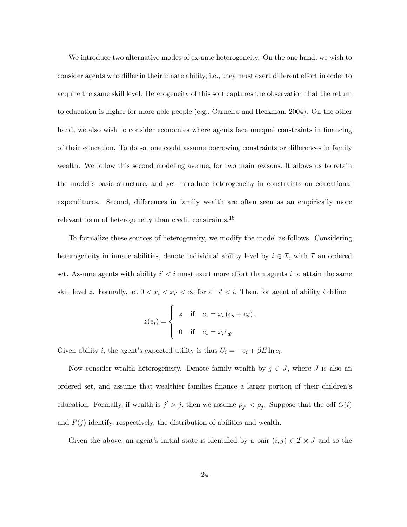We introduce two alternative modes of ex-ante heterogeneity. On the one hand, we wish to consider agents who differ in their innate ability, i.e., they must exert different effort in order to acquire the same skill level. Heterogeneity of this sort captures the observation that the return to education is higher for more able people (e.g., Carneiro and Heckman, 2004). On the other hand, we also wish to consider economies where agents face unequal constraints in financing of their education. To do so, one could assume borrowing constraints or differences in family wealth. We follow this second modeling avenue, for two main reasons. It allows us to retain the model's basic structure, and yet introduce heterogeneity in constraints on educational expenditures. Second, differences in family wealth are often seen as an empirically more relevant form of heterogeneity than credit constraints.<sup>16</sup>

To formalize these sources of heterogeneity, we modify the model as follows. Considering heterogeneity in innate abilities, denote individual ability level by  $i \in \mathcal{I}$ , with  $\mathcal I$  an ordered set. Assume agents with ability  $i' < i$  must exert more effort than agents i to attain the same skill level z. Formally, let  $0 < x_i < x_{i'} < \infty$  for all  $i' < i$ . Then, for agent of ability i define

$$
z(e_i) = \begin{cases} z & \text{if } e_i = x_i (e_s + e_d), \\ 0 & \text{if } e_i = x_i e_d, \end{cases}
$$

Given ability *i*, the agent's expected utility is thus  $U_i = -e_i + \beta E \ln c_i$ .

Now consider wealth heterogeneity. Denote family wealth by  $j \in J$ , where J is also an ordered set, and assume that wealthier families finance a larger portion of their children's education. Formally, if wealth is  $j' > j$ , then we assume  $\rho_{j'} < \rho_j$ . Suppose that the cdf  $G(i)$ and  $F(j)$  identify, respectively, the distribution of abilities and wealth.

Given the above, an agent's initial state is identified by a pair  $(i, j) \in \mathcal{I} \times J$  and so the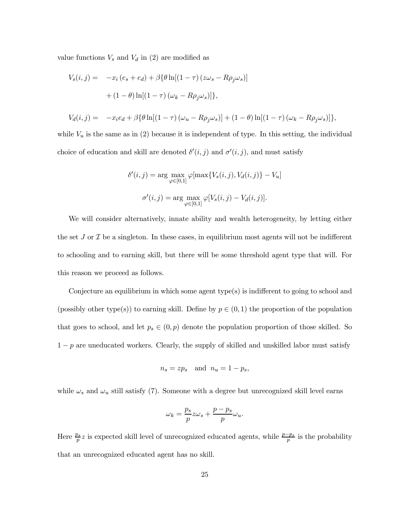value functions  $V_s$  and  $V_d$  in (2) are modified as

$$
V_s(i,j) = -x_i (e_s + e_d) + \beta \{ \theta \ln[(1-\tau) (z\omega_s - R\rho_j \omega_s)]
$$

$$
+ (1-\theta) \ln[(1-\tau) (\omega_k - R\rho_j \omega_s)] \},
$$

$$
V_d(i,j) = -x_i e_d + \beta \{ \theta \ln[(1-\tau)(\omega_u - R\rho_j \omega_s)] + (1-\theta) \ln[(1-\tau)(\omega_k - R\rho_j \omega_s)] \},
$$

while  $V_u$  is the same as in (2) because it is independent of type. In this setting, the individual choice of education and skill are denoted  $\delta'(i, j)$  and  $\sigma'(i, j)$ , and must satisfy

$$
\delta'(i,j) = \arg\max_{\varphi \in [0,1]} \varphi[\max\{V_s(i,j), V_d(i,j)\} - V_u]
$$

$$
\sigma'(i,j) = \arg\max_{\varphi \in [0,1]} \varphi[V_s(i,j) - V_d(i,j)].
$$

We will consider alternatively, innate ability and wealth heterogeneity, by letting either the set  $J$  or  $\mathcal I$  be a singleton. In these cases, in equilibrium most agents will not be indifferent to schooling and to earning skill, but there will be some threshold agent type that will. For this reason we proceed as follows.

Conjecture an equilibrium in which some agent type(s) is indifferent to going to school and (possibly other type(s)) to earning skill. Define by  $p \in (0,1)$  the proportion of the population that goes to school, and let  $p_s \in (0, p)$  denote the population proportion of those skilled. So  $1-p$  are uneducated workers. Clearly, the supply of skilled and unskilled labor must satisfy

$$
n_s = z p_s \quad \text{and} \quad n_u = 1 - p_s,
$$

while  $\omega_s$  and  $\omega_u$  still satisfy (7). Someone with a degree but unrecognized skill level earns

$$
\omega_k = \frac{p_s}{p} z \omega_s + \frac{p - p_s}{p} \omega_u.
$$

Here  $\frac{p_s}{p}z$  is expected skill level of unrecognized educated agents, while  $\frac{p-p_s}{p}$  is the probability that an unrecognized educated agent has no skill.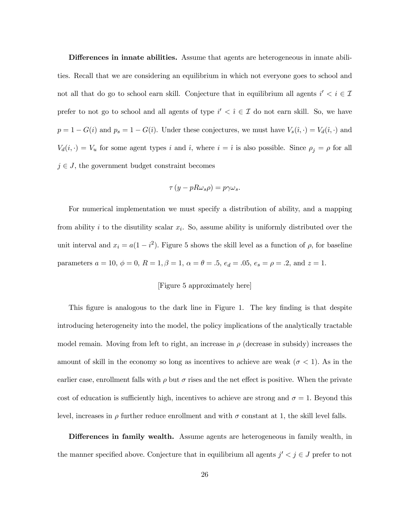Differences in innate abilities. Assume that agents are heterogeneous in innate abilities. Recall that we are considering an equilibrium in which not everyone goes to school and not all that do go to school earn skill. Conjecture that in equilibrium all agents  $i' < i \in \mathcal{I}$ prefer to not go to school and all agents of type  $i' < i \in \mathcal{I}$  do not earn skill. So, we have  $p = 1 - G(i)$  and  $p_s = 1 - G(i)$ . Under these conjectures, we must have  $V_s(i, \cdot) = V_d(i, \cdot)$  and  $V_d(i, \cdot) = V_u$  for some agent types i and i, where  $i = i$  is also possible. Since  $\rho_j = \rho$  for all  $j \in J$ , the government budget constraint becomes

$$
\tau (y - pR\omega_s \rho) = p\gamma \omega_s.
$$

For numerical implementation we must specify a distribution of ability, and a mapping from ability i to the disutility scalar  $x_i$ . So, assume ability is uniformly distributed over the unit interval and  $x_i = a(1 - i^2)$ . Figure 5 shows the skill level as a function of  $\rho$ , for baseline parameters  $a = 10$ ,  $\phi = 0$ ,  $R = 1$ ,  $\beta = 1$ ,  $\alpha = \theta = .5$ ,  $e_d = .05$ ,  $e_s = \rho = .2$ , and  $z = 1$ .

# [Figure 5 approximately here]

This figure is analogous to the dark line in Figure 1. The key finding is that despite introducing heterogeneity into the model, the policy implications of the analytically tractable model remain. Moving from left to right, an increase in  $\rho$  (decrease in subsidy) increases the amount of skill in the economy so long as incentives to achieve are weak ( $\sigma$  < 1). As in the earlier case, enrollment falls with  $\rho$  but  $\sigma$  rises and the net effect is positive. When the private cost of education is sufficiently high, incentives to achieve are strong and  $\sigma = 1$ . Beyond this level, increases in  $\rho$  further reduce enrollment and with  $\sigma$  constant at 1, the skill level falls.

Differences in family wealth. Assume agents are heterogeneous in family wealth, in the manner specified above. Conjecture that in equilibrium all agents  $j' < j \in J$  prefer to not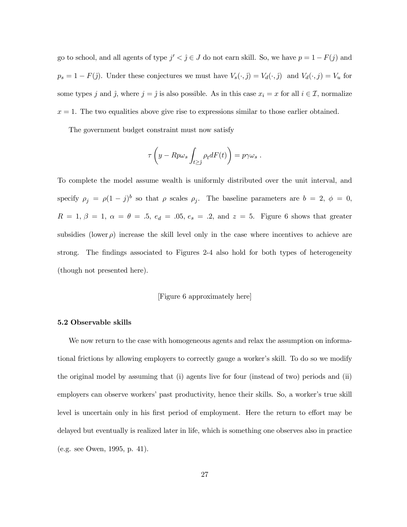go to school, and all agents of type  $j' < j \in J$  do not earn skill. So, we have  $p = 1 - F(j)$  and  $p_s = 1 - F(j)$ . Under these conjectures we must have  $V_s(\cdot, j) = V_d(\cdot, j)$  and  $V_d(\cdot, j) = V_u$  for some types j and ĵ, where  $j = j$  is also possible. As in this case  $x_i = x$  for all  $i \in \mathcal{I}$ , normalize  $x = 1$ . The two equalities above give rise to expressions similar to those earlier obtained.

The government budget constraint must now satisfy

$$
\tau\left(y - Rp\omega_s \int_{t \geq \hat{j}} \rho_t dF(t)\right) = p\gamma\omega_s.
$$

To complete the model assume wealth is uniformly distributed over the unit interval, and specify  $\rho_j = \rho (1 - j)^b$  so that  $\rho$  scales  $\rho_j$ . The baseline parameters are  $b = 2, \phi = 0$ ,  $R = 1, \beta = 1, \alpha = \theta = .5, e<sub>d</sub> = .05, e<sub>s</sub> = .2, \text{ and } z = 5.$  Figure 6 shows that greater subsidies (lower  $\rho$ ) increase the skill level only in the case where incentives to achieve are strong. The findings associated to Figures 2-4 also hold for both types of heterogeneity (though not presented here).

# [Figure 6 approximately here]

#### 5.2 Observable skills

We now return to the case with homogeneous agents and relax the assumption on informational frictions by allowing employers to correctly gauge a worker's skill. To do so we modify the original model by assuming that (i) agents live for four (instead of two) periods and (ii) employers can observe workers' past productivity, hence their skills. So, a worker's true skill level is uncertain only in his first period of employment. Here the return to effort may be delayed but eventually is realized later in life, which is something one observes also in practice (e.g. see Owen, 1995, p. 41).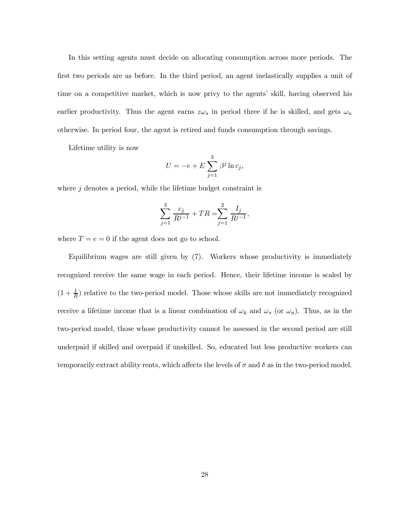In this setting agents must decide on allocating consumption across more periods. The first two periods are as before. In the third period, an agent inelastically supplies a unit of time on a competitive market, which is now privy to the agents' skill, having observed his earlier productivity. Thus the agent earns  $z\omega_s$  in period three if he is skilled, and gets  $\omega_u$ otherwise. In period four, the agent is retired and funds consumption through savings.

Lifetime utility is now

$$
U = -e + E \sum_{j=1}^{3} \beta^j \ln c_j,
$$

where  $j$  denotes a period, while the lifetime budget constraint is

$$
\sum_{j=1}^3 \frac{c_j}{R^{j-1}} + TR = \sum_{j=1}^2 \frac{I_j}{R^{j-1}},
$$

where  $T = e = 0$  if the agent does not go to school.

Equilibrium wages are still given by (7). Workers whose productivity is immediately recognized receive the same wage in each period. Hence, their lifetime income is scaled by  $(1 + \frac{1}{R})$  relative to the two-period model. Those whose skills are not immediately recognized receive a lifetime income that is a linear combination of  $\omega_k$  and  $\omega_s$  (or  $\omega_u$ ). Thus, as in the two-period model, those whose productivity cannot be assessed in the second period are still underpaid if skilled and overpaid if unskilled. So, educated but less productive workers can temporarily extract ability rents, which affects the levels of  $\sigma$  and  $\delta$  as in the two-period model.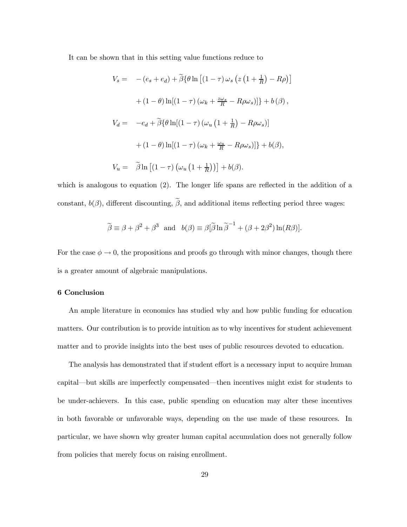It can be shown that in this setting value functions reduce to

$$
V_s = - (e_s + e_d) + \tilde{\beta} \{ \theta \ln \left[ (1 - \tau) \omega_s \left( z \left( 1 + \frac{1}{R} \right) - R \rho \right) \right]
$$

$$
+ (1 - \theta) \ln[(1 - \tau) \left( \omega_k + \frac{z \omega_s}{R} - R \rho \omega_s \right)] \} + b(\beta),
$$

$$
V_d = -e_d + \tilde{\beta} \{ \theta \ln[(1 - \tau) \left( \omega_u \left( 1 + \frac{1}{R} \right) - R \rho \omega_s \right) \}
$$

$$
+ (1 - \theta) \ln[(1 - \tau) \left( \omega_k + \frac{\omega_u}{R} - R \rho \omega_s \right)] \} + b(\beta),
$$

$$
V_u = \tilde{\beta} \ln \left[ (1 - \tau) \left( \omega_u \left( 1 + \frac{1}{R} \right) \right) \right] + b(\beta).
$$

which is analogous to equation (2). The longer life spans are reflected in the addition of a constant,  $b(\beta)$ , different discounting,  $\tilde{\beta}$ , and additional items reflecting period three wages:

$$
\widetilde{\beta} \equiv \beta + \beta^2 + \beta^3
$$
 and  $b(\beta) \equiv \beta[\widetilde{\beta} \ln \widetilde{\beta}^{-1} + (\beta + 2\beta^2) \ln(R\beta)].$ 

For the case  $\phi \to 0$ , the propositions and proofs go through with minor changes, though there is a greater amount of algebraic manipulations.

#### 6 Conclusion

An ample literature in economics has studied why and how public funding for education matters. Our contribution is to provide intuition as to why incentives for student achievement matter and to provide insights into the best uses of public resources devoted to education.

The analysis has demonstrated that if student effort is a necessary input to acquire human capital–but skills are imperfectly compensated–then incentives might exist for students to be under-achievers. In this case, public spending on education may alter these incentives in both favorable or unfavorable ways, depending on the use made of these resources. In particular, we have shown why greater human capital accumulation does not generally follow from policies that merely focus on raising enrollment.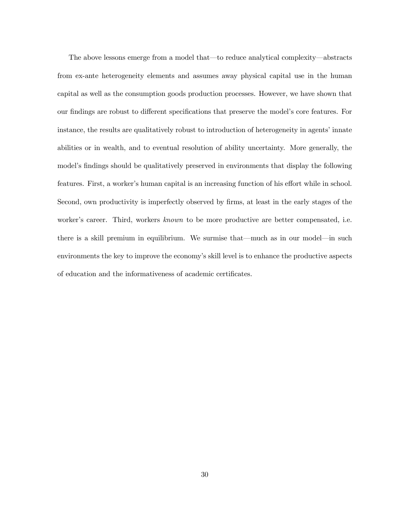The above lessons emerge from a model that–to reduce analytical complexity–abstracts from ex-ante heterogeneity elements and assumes away physical capital use in the human capital as well as the consumption goods production processes. However, we have shown that our findings are robust to different specifications that preserve the model's core features. For instance, the results are qualitatively robust to introduction of heterogeneity in agents' innate abilities or in wealth, and to eventual resolution of ability uncertainty. More generally, the model's findings should be qualitatively preserved in environments that display the following features. First, a worker's human capital is an increasing function of his effort while in school. Second, own productivity is imperfectly observed by firms, at least in the early stages of the worker's career. Third, workers known to be more productive are better compensated, i.e. there is a skill premium in equilibrium. We surmise that–much as in our model–in such environments the key to improve the economy's skill level is to enhance the productive aspects of education and the informativeness of academic certificates.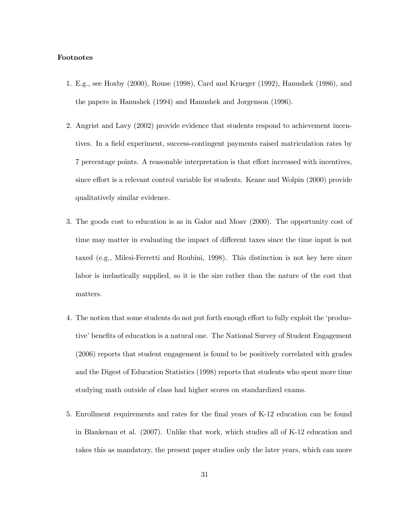#### Footnotes

- 1. E.g., see Hoxby (2000), Rouse (1998), Card and Krueger (1992), Hanushek (1986), and the papers in Hanushek (1994) and Hanushek and Jorgenson (1996).
- 2. Angrist and Lavy (2002) provide evidence that students respond to achievement incentives. In a field experiment, success-contingent payments raised matriculation rates by 7 percentage points. A reasonable interpretation is that effort increased with incentives, since effort is a relevant control variable for students. Keane and Wolpin (2000) provide qualitatively similar evidence.
- 3. The goods cost to education is as in Galor and Moav (2000). The opportunity cost of time may matter in evaluating the impact of different taxes since the time input is not taxed (e.g., Milesi-Ferretti and Roubini, 1998). This distinction is not key here since labor is inelastically supplied, so it is the size rather than the nature of the cost that matters.
- 4. The notion that some students do not put forth enough effort to fully exploit the 'productive' benefits of education is a natural one. The National Survey of Student Engagement (2006) reports that student engagement is found to be positively correlated with grades and the Digest of Education Statistics (1998) reports that students who spent more time studying math outside of class had higher scores on standardized exams.
- 5. Enrollment requirements and rates for the final years of K-12 education can be found in Blankenau et al. (2007). Unlike that work, which studies all of K-12 education and takes this as mandatory, the present paper studies only the later years, which can more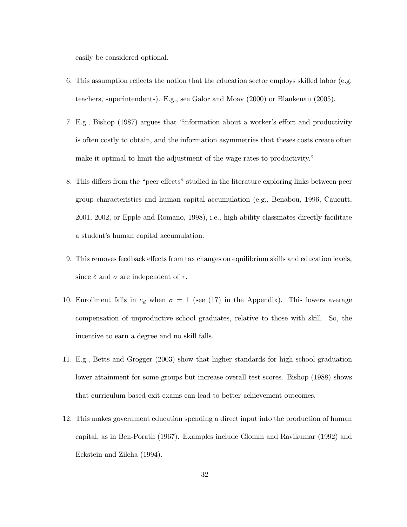easily be considered optional.

- 6. This assumption reflects the notion that the education sector employs skilled labor (e.g. teachers, superintendents). E.g., see Galor and Moav (2000) or Blankenau (2005).
- 7. E.g., Bishop (1987) argues that "information about a worker's effort and productivity is often costly to obtain, and the information asymmetries that theses costs create often make it optimal to limit the adjustment of the wage rates to productivity."
- 8. This differs from the "peer effects" studied in the literature exploring links between peer group characteristics and human capital accumulation (e.g., Benabou, 1996, Caucutt, 2001, 2002, or Epple and Romano, 1998), i.e., high-ability classmates directly facilitate a student's human capital accumulation.
- 9. This removes feedback effects from tax changes on equilibrium skills and education levels, since  $\delta$  and  $\sigma$  are independent of  $\tau$ .
- 10. Enrollment falls in  $e_d$  when  $\sigma = 1$  (see (17) in the Appendix). This lowers average compensation of unproductive school graduates, relative to those with skill. So, the incentive to earn a degree and no skill falls.
- 11. E.g., Betts and Grogger (2003) show that higher standards for high school graduation lower attainment for some groups but increase overall test scores. Bishop (1988) shows that curriculum based exit exams can lead to better achievement outcomes.
- 12. This makes government education spending a direct input into the production of human capital, as in Ben-Porath (1967). Examples include Glomm and Ravikumar (1992) and Eckstein and Zilcha (1994).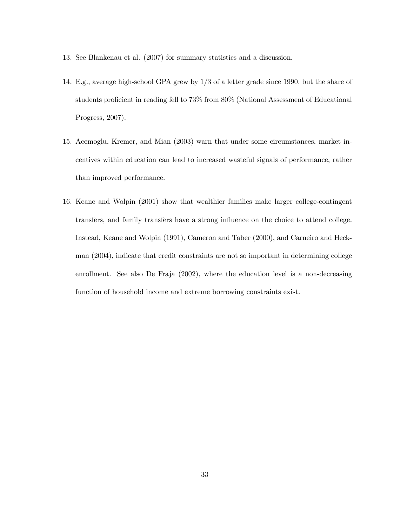- 13. See Blankenau et al. (2007) for summary statistics and a discussion.
- 14. E.g., average high-school GPA grew by 1/3 of a letter grade since 1990, but the share of students proficient in reading fell to 73% from 80% (National Assessment of Educational Progress, 2007).
- 15. Acemoglu, Kremer, and Mian (2003) warn that under some circumstances, market incentives within education can lead to increased wasteful signals of performance, rather than improved performance.
- 16. Keane and Wolpin (2001) show that wealthier families make larger college-contingent transfers, and family transfers have a strong influence on the choice to attend college. Instead, Keane and Wolpin (1991), Cameron and Taber (2000), and Carneiro and Heckman (2004), indicate that credit constraints are not so important in determining college enrollment. See also De Fraja (2002), where the education level is a non-decreasing function of household income and extreme borrowing constraints exist.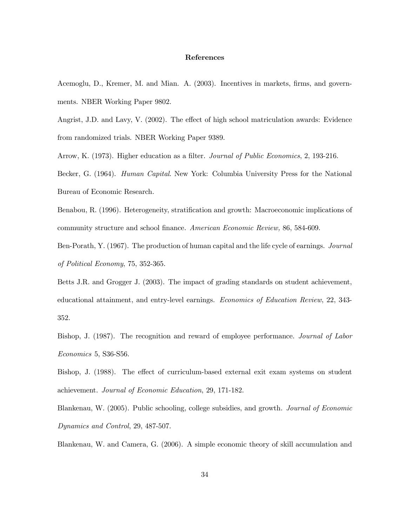#### References

Acemoglu, D., Kremer, M. and Mian. A. (2003). Incentives in markets, firms, and governments. NBER Working Paper 9802.

Angrist, J.D. and Lavy, V. (2002). The effect of high school matriculation awards: Evidence from randomized trials. NBER Working Paper 9389.

Arrow, K. (1973). Higher education as a filter. Journal of Public Economics, 2, 193-216.

Becker, G. (1964). Human Capital. New York: Columbia University Press for the National Bureau of Economic Research.

Benabou, R. (1996). Heterogeneity, stratification and growth: Macroeconomic implications of community structure and school finance. American Economic Review, 86, 584-609.

Ben-Porath, Y. (1967). The production of human capital and the life cycle of earnings. Journal of Political Economy, 75, 352-365.

Betts J.R. and Grogger J. (2003). The impact of grading standards on student achievement, educational attainment, and entry-level earnings. Economics of Education Review, 22, 343- 352.

Bishop, J. (1987). The recognition and reward of employee performance. Journal of Labor Economics 5, S36-S56.

Bishop, J. (1988). The effect of curriculum-based external exit exam systems on student achievement. Journal of Economic Education, 29, 171-182.

Blankenau, W. (2005). Public schooling, college subsidies, and growth. Journal of Economic Dynamics and Control, 29, 487-507.

Blankenau, W. and Camera, G. (2006). A simple economic theory of skill accumulation and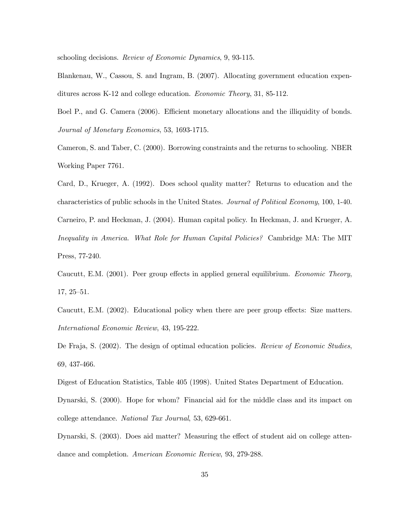schooling decisions. Review of Economic Dynamics, 9, 93-115.

Blankenau, W., Cassou, S. and Ingram, B. (2007). Allocating government education expenditures across K-12 and college education. Economic Theory, 31, 85-112.

Boel P., and G. Camera (2006). Efficient monetary allocations and the illiquidity of bonds. Journal of Monetary Economics, 53, 1693-1715.

Cameron, S. and Taber, C. (2000). Borrowing constraints and the returns to schooling. NBER Working Paper 7761.

Card, D., Krueger, A. (1992). Does school quality matter? Returns to education and the characteristics of public schools in the United States. Journal of Political Economy, 100, 1-40. Carneiro, P. and Heckman, J. (2004). Human capital policy. In Heckman, J. and Krueger, A. Inequality in America. What Role for Human Capital Policies? Cambridge MA: The MIT Press, 77-240.

Caucutt, E.M. (2001). Peer group effects in applied general equilibrium. Economic Theory, 17, 25—51.

Caucutt, E.M. (2002). Educational policy when there are peer group effects: Size matters. International Economic Review, 43, 195-222.

De Fraja, S. (2002). The design of optimal education policies. Review of Economic Studies, 69, 437-466.

Digest of Education Statistics, Table 405 (1998). United States Department of Education. Dynarski, S. (2000). Hope for whom? Financial aid for the middle class and its impact on

college attendance. National Tax Journal, 53, 629-661.

Dynarski, S. (2003). Does aid matter? Measuring the effect of student aid on college attendance and completion. American Economic Review, 93, 279-288.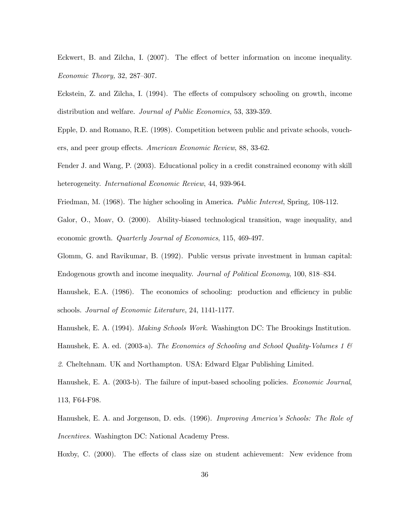Eckwert, B. and Zilcha, I. (2007). The effect of better information on income inequality. Economic Theory, 32, 287—307.

Eckstein, Z. and Zilcha, I. (1994). The effects of compulsory schooling on growth, income distribution and welfare. Journal of Public Economics, 53, 339-359.

Epple, D. and Romano, R.E. (1998). Competition between public and private schools, vouchers, and peer group effects. American Economic Review, 88, 33-62.

Fender J. and Wang, P. (2003). Educational policy in a credit constrained economy with skill heterogeneity. *International Economic Review*, 44, 939-964.

Friedman, M. (1968). The higher schooling in America. Public Interest, Spring, 108-112.

Galor, O., Moav, O. (2000). Ability-biased technological transition, wage inequality, and economic growth. Quarterly Journal of Economics, 115, 469-497.

Glomm, G. and Ravikumar, B. (1992). Public versus private investment in human capital: Endogenous growth and income inequality. Journal of Political Economy, 100, 818—834.

Hanushek, E.A. (1986). The economics of schooling: production and efficiency in public schools. Journal of Economic Literature, 24, 1141-1177.

Hanushek, E. A. (1994). Making Schools Work. Washington DC: The Brookings Institution.

Hanushek, E. A. ed. (2003-a). The Economics of Schooling and School Quality-Volumes 1  $\mathcal B$ 

2. Cheltehnam. UK and Northampton. USA: Edward Elgar Publishing Limited.

Hanushek, E. A. (2003-b). The failure of input-based schooling policies. Economic Journal, 113, F64-F98.

Hanushek, E. A. and Jorgenson, D. eds. (1996). Improving America's Schools: The Role of Incentives. Washington DC: National Academy Press.

Hoxby, C. (2000). The effects of class size on student achievement: New evidence from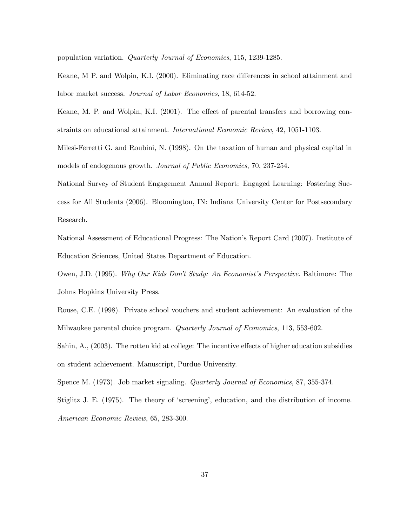population variation. Quarterly Journal of Economics, 115, 1239-1285.

Keane, M P. and Wolpin, K.I. (2000). Eliminating race differences in school attainment and labor market success. Journal of Labor Economics, 18, 614-52.

Keane, M. P. and Wolpin, K.I. (2001). The effect of parental transfers and borrowing constraints on educational attainment. International Economic Review, 42, 1051-1103.

Milesi-Ferretti G. and Roubini, N. (1998). On the taxation of human and physical capital in models of endogenous growth. Journal of Public Economics, 70, 237-254.

National Survey of Student Engagement Annual Report: Engaged Learning: Fostering Success for All Students (2006). Bloomington, IN: Indiana University Center for Postsecondary Research.

National Assessment of Educational Progress: The Nation's Report Card (2007). Institute of Education Sciences, United States Department of Education.

Owen, J.D. (1995). Why Our Kids Don't Study: An Economist's Perspective. Baltimore: The Johns Hopkins University Press.

Rouse, C.E. (1998). Private school vouchers and student achievement: An evaluation of the Milwaukee parental choice program. Quarterly Journal of Economics, 113, 553-602.

Sahin, A., (2003). The rotten kid at college: The incentive effects of higher education subsidies on student achievement. Manuscript, Purdue University.

Spence M. (1973). Job market signaling. Quarterly Journal of Economics, 87, 355-374.

Stiglitz J. E. (1975). The theory of 'screening', education, and the distribution of income. American Economic Review, 65, 283-300.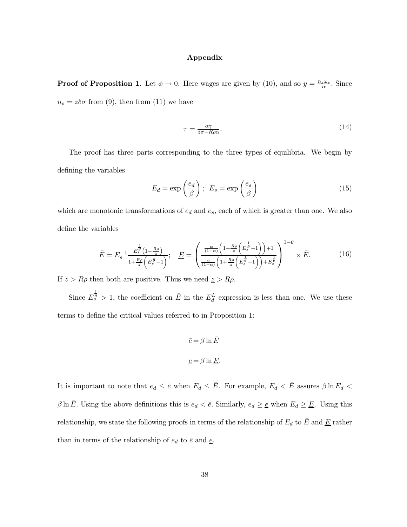#### Appendix

**Proof of Proposition 1**. Let  $\phi \to 0$ . Here wages are given by (10), and so  $y = \frac{n_s \omega_s}{\alpha}$ . Since  $n_s = z\delta\sigma$  from (9), then from (11) we have

$$
\tau = \frac{\alpha \gamma}{z\sigma - R\rho \alpha}.\tag{14}
$$

The proof has three parts corresponding to the three types of equilibria. We begin by defining the variables

$$
E_d = \exp\left(\frac{e_d}{\beta}\right); \ E_s = \exp\left(\frac{e_s}{\beta}\right) \tag{15}
$$

which are monotonic transformations of  $e_d$  and  $e_s$ , each of which is greater than one. We also define the variables

$$
\bar{E} = E_s^{-1} \frac{E_s^{\frac{1}{\theta}} (1 - \frac{R\rho}{z})}{1 + \frac{R\rho}{z} \left( E_s^{\frac{1}{\theta}} - 1 \right)}; \quad \underline{E} = \begin{pmatrix} \frac{\alpha}{(1 - \alpha)} \left( 1 + \frac{R\rho}{z} \left( E_s^{\frac{1}{\theta}} - 1 \right) \right) + 1\\ \frac{\alpha}{(1 - \alpha)} \left( 1 + \frac{R\rho}{z} \left( E_s^{\frac{1}{\theta}} - 1 \right) \right) + E_s^{\frac{1}{\theta}} \end{pmatrix}^{1 - \theta} \times \bar{E}.
$$
 (16)

If  $z > R\rho$  then both are positive. Thus we need  $z > R\rho$ .

Since  $E_s^{\frac{1}{\theta}} > 1$ , the coefficient on  $\overline{E}$  in the  $E_d^L$  expression is less than one. We use these terms to define the critical values referred to in Proposition 1:

$$
\bar{e} = \beta \ln \bar{E}
$$
  

$$
\underline{e} = \beta \ln \underline{E}.
$$

It is important to note that  $e_d \leq \bar{e}$  when  $E_d \leq \bar{E}$ . For example,  $E_d < \bar{E}$  assures  $\beta \ln E_d <$  $\beta \ln \bar{E}$ . Using the above definitions this is  $e_d < \bar{e}$ . Similarly,  $e_d \geq \underline{e}$  when  $E_d \geq \underline{E}$ . Using this relationship, we state the following proofs in terms of the relationship of  $E_d$  to  $\overline{E}$  and  $\underline{E}$  rather than in terms of the relationship of  $e_d$  to  $\bar{e}$  and  $\underline{e}$ .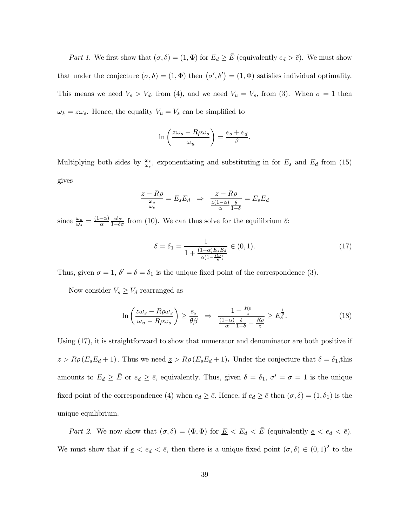Part 1. We first show that  $(\sigma, \delta) = (1, \Phi)$  for  $E_d \ge \overline{E}$  (equivalently  $e_d > \overline{e}$ ). We must show that under the conjecture  $(\sigma, \delta) = (1, \Phi)$  then  $(\sigma', \delta') = (1, \Phi)$  satisfies individual optimality. This means we need  $V_s > V_d$ , from (4), and we need  $V_u = V_s$ , from (3). When  $\sigma = 1$  then  $\omega_k = z\omega_s$ . Hence, the equality  $V_u = V_s$  can be simplified to

$$
\ln\left(\frac{z\omega_s - R\rho\omega_s}{\omega_u}\right) = \frac{e_s + e_d}{\beta}.
$$

Multiplying both sides by  $\frac{\omega_s}{\omega_s}$ , exponentiating and substituting in for  $E_s$  and  $E_d$  from (15) gives

$$
\frac{z - R\rho}{\frac{\omega_u}{\omega_s}} = E_s E_d \Rightarrow \frac{z - R\rho}{\frac{z(1-\alpha)}{\alpha} \frac{\delta}{1-\delta}} = E_s E_d
$$

since  $\frac{\omega_u}{\omega_s} = \frac{(1-\alpha)}{\alpha}$  $\frac{z\delta\sigma}{1-\delta\sigma}$  from (10). We can thus solve for the equilibrium δ:

$$
\delta = \delta_1 = \frac{1}{1 + \frac{(1 - \alpha)E_s E_d}{\alpha (1 - \frac{R\rho}{z})}} \in (0, 1).
$$
\n(17)

Thus, given  $\sigma = 1$ ,  $\delta' = \delta = \delta_1$  is the unique fixed point of the correspondence (3).

Now consider  $V_s \geq V_d$  rearranged as

$$
\ln\left(\frac{z\omega_s - R\rho\omega_s}{\omega_u - R\rho\omega_s}\right) \ge \frac{e_s}{\theta\beta} \quad \Rightarrow \quad \frac{1 - \frac{R\rho}{z}}{\frac{(1 - \alpha)}{\alpha} \frac{\delta}{1 - \delta} - \frac{R\rho}{z}} \ge E_s^{\frac{1}{\theta}}.
$$
\n
$$
(18)
$$

Using (17), it is straightforward to show that numerator and denominator are both positive if  $z > R\rho (E_s E_d + 1)$ . Thus we need  $z > R\rho (E_s E_d + 1)$ . Under the conjecture that  $\delta = \delta_1$ , this amounts to  $E_d \ge \bar{E}$  or  $e_d \ge \bar{e}$ , equivalently. Thus, given  $\delta = \delta_1$ ,  $\sigma' = \sigma = 1$  is the unique fixed point of the correspondence (4) when  $e_d \geq \bar{e}$ . Hence, if  $e_d \geq \bar{e}$  then  $(\sigma, \delta) = (1, \delta_1)$  is the unique equilibrium.

Part 2. We now show that  $(\sigma, \delta)=(\Phi, \Phi)$  for  $\underline{E} < E_d < \overline{E}$  (equivalently  $\underline{e} < e_d < \overline{e}$ ). We must show that if  $\underline{e} < e_d < \overline{e}$ , then there is a unique fixed point  $(\sigma, \delta) \in (0, 1)^2$  to the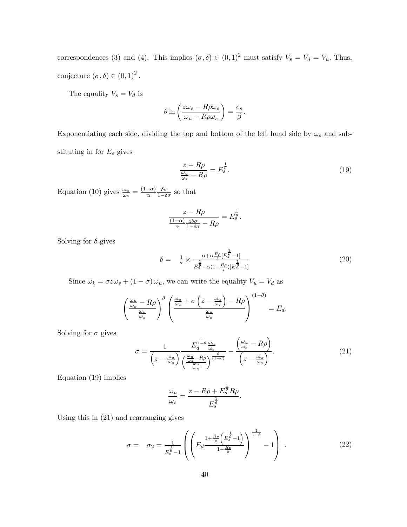correspondences (3) and (4). This implies  $(\sigma, \delta) \in (0, 1)^2$  must satisfy  $V_s = V_d = V_u$ . Thus, conjecture  $(\sigma, \delta) \in (0, 1)^2$ .

The equality  $\mathcal{V}_s = \mathcal{V}_d$  is

$$
\theta \ln \left( \frac{z\omega_s - R\rho \omega_s}{\omega_u - R\rho \omega_s} \right) = \frac{e_s}{\beta}.
$$

Exponentiating each side, dividing the top and bottom of the left hand side by  $\omega_s$  and substituting in for  $E_s$  gives

$$
\frac{z - R\rho}{\frac{\omega_u}{\omega_s} - R\rho} = E_s^{\frac{1}{\theta}}.\tag{19}
$$

Equation (10) gives  $\frac{\omega_u}{\omega_s} = \frac{(1-\alpha)}{\alpha}$  $\frac{\delta \sigma}{1-\delta \sigma}$  so that

$$
\frac{z - R\rho}{\frac{(1-\alpha)}{\alpha} \frac{z\delta\sigma}{1-\delta\sigma} - R\rho} = E_s^{\frac{1}{\theta}}.
$$

Solving for  $\delta$  gives

$$
\delta = \frac{1}{\sigma} \times \frac{\alpha + \alpha \frac{R\rho}{z} [E_s^{\frac{1}{\theta}} - 1]}{E_s^{\frac{1}{\theta}} - \alpha (1 - \frac{R\rho}{z}) [E_s^{\frac{1}{\theta}} - 1]}
$$
\n(20)

Since  $\omega_k = \sigma z \omega_s + (1 - \sigma) \omega_u$ , we can write the equality  $V_u = V_d$  as

$$
\left(\frac{\frac{\omega_u}{\omega_s} - R\rho}{\frac{\omega_u}{\omega_s}}\right)^{\theta} \left(\frac{\frac{\omega_u}{\omega_s} + \sigma\left(z - \frac{\omega_u}{\omega_s}\right) - R\rho}{\frac{\omega_u}{\omega_s}}\right)^{(1-\theta)} = E_d.
$$

Solving for  $\sigma$  gives

$$
\sigma = \frac{1}{\left(z - \frac{\omega_u}{\omega_s}\right)} \frac{E_d^{\frac{1}{1-\theta}} \frac{\omega_u}{\omega_s}}{\left(\frac{\omega_u}{\omega_s} - R\rho\right)^{\frac{\theta}{(1-\theta)}}} - \frac{\left(\frac{\omega_u}{\omega_s} - R\rho\right)}{\left(z - \frac{\omega_u}{\omega_s}\right)}.\tag{21}
$$

Equation (19) implies

$$
\frac{\omega_u}{\omega_s} = \frac{z-R\rho + E_s^{\frac{1}{\theta}}R\rho}{E_s^{\frac{1}{\theta}}}
$$

Using this in (21) and rearranging gives

$$
\sigma = \sigma_2 = \frac{1}{E_s^{\frac{1}{\theta}} - 1} \left( \left( E_d \frac{1 + \frac{R\rho}{z} \left( E_s^{\frac{1}{\theta}} - 1 \right)}{1 - \frac{R\rho}{z}} \right)^{\frac{1}{1 - \theta}} - 1 \right) . \tag{22}
$$

.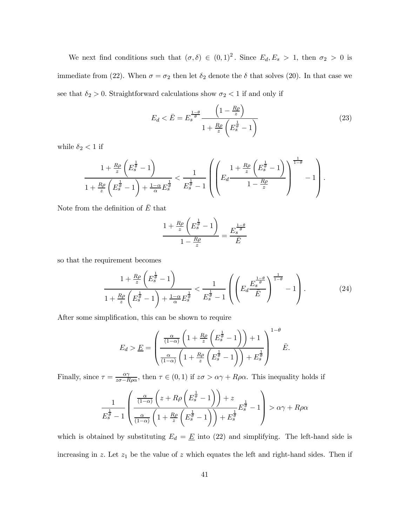We next find conditions such that  $(\sigma, \delta) \in (0, 1)^2$ . Since  $E_d, E_s > 1$ , then  $\sigma_2 > 0$  is immediate from (22). When  $\sigma = \sigma_2$  then let  $\delta_2$  denote the  $\delta$  that solves (20). In that case we see that  $\delta_2 > 0$ . Straightforward calculations show  $\sigma_2 < 1$  if and only if

$$
E_d < \bar{E} = E_s^{\frac{1-\theta}{\theta}} \frac{\left(1 - \frac{R\rho}{z}\right)}{1 + \frac{R\rho}{z} \left(E_s^{\frac{1}{\theta}} - 1\right)}\tag{23}
$$

while  $\delta_2<1$  if

$$
\frac{1+\frac{R\rho}{z}\left(E_s^{\frac{1}{\theta}}-1\right)}{1+\frac{R\rho}{z}\left(E_s^{\frac{1}{\theta}}-1\right)+\frac{1-\alpha}{\alpha}E_s^{\frac{1}{\theta}}}\nlt\frac{1}{E_s^{\frac{1}{\theta}}-1}\left(\left(E_d\frac{1+\frac{R\rho}{z}\left(E_s^{\frac{1}{\theta}}-1\right)}{1-\frac{R\rho}{z}}\right)^{\frac{1}{1-\theta}}-1\right).
$$

Note from the definition of  $\overline{E}$  that

$$
\frac{1 + \frac{R\rho}{z} \left( E_s^{\frac{1}{\theta}} - 1 \right)}{1 - \frac{R\rho}{z}} = \frac{E_s^{\frac{1-\theta}{\theta}}}{\bar{E}}
$$

so that the requirement becomes

$$
\frac{1+\frac{R\rho}{z}\left(E_s^{\frac{1}{\theta}}-1\right)}{1+\frac{R\rho}{z}\left(E_s^{\frac{1}{\theta}}-1\right)+\frac{1-\alpha}{\alpha}E_s^{\frac{1}{\theta}}}\n<\frac{1}{E_s^{\frac{1}{\theta}}-1}\left(\left(E_d\frac{E_s^{\frac{1-\theta}{\theta}}}{\bar{E}}\right)^{\frac{1}{1-\theta}}-1\right).
$$
\n
$$
(24)
$$

After some simplification, this can be shown to require

$$
E_d > \underline{E} = \left(\frac{\frac{\alpha}{(1-\alpha)} \left(1 + \frac{R\rho}{z} \left(E_s^{\frac{1}{\theta}} - 1\right)\right) + 1}{\frac{\alpha}{(1-\alpha)} \left(1 + \frac{R\rho}{z} \left(E_s^{\frac{1}{\theta}} - 1\right)\right) + E_s^{\frac{1}{\theta}}}\right)^{1-\theta} \underline{E}.
$$

Finally, since  $\tau = \frac{\alpha \gamma}{z\sigma - R\rho\alpha}$ , then  $\tau \in (0, 1)$  if  $z\sigma > \alpha \gamma + R\rho\alpha$ . This inequality holds if

$$
\frac{1}{E_s^{\frac{1}{\theta}}-1} \left( \frac{\frac{\alpha}{(1-\alpha)} \left(z+R\rho \left(E_s^{\frac{1}{\theta}}-1\right)\right)+z}{\frac{\alpha}{(1-\alpha)} \left(1+\frac{R\rho}{z} \left(E_s^{\frac{1}{\theta}}-1\right)\right)+E_s^{\frac{1}{\theta}}} E_s^{\frac{1}{\theta}}-1 \right) > \alpha \gamma + R\rho \alpha
$$

which is obtained by substituting  $E_d = \underline{E}$  into (22) and simplifying. The left-hand side is increasing in z. Let  $z_1$  be the value of z which equates the left and right-hand sides. Then if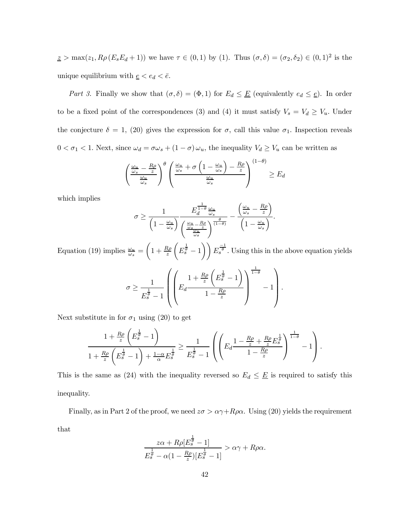$\underline{z} > \max(z_1, R\rho(E_sE_d+1))$  we have  $\tau \in (0,1)$  by (1). Thus  $(\sigma, \delta) = (\sigma_2, \delta_2) \in (0,1)^2$  is the unique equilibrium with  $\underline{e} < e_d < \overline{e}$ .

Part 3. Finally we show that  $(\sigma, \delta)=(\Phi, 1)$  for  $E_d \leq \underline{E}$  (equivalently  $e_d \leq \underline{e}$ ). In order to be a fixed point of the correspondences (3) and (4) it must satisfy  $V_s = V_d \ge V_u$ . Under the conjecture  $\delta = 1$ , (20) gives the expression for  $\sigma$ , call this value  $\sigma_1$ . Inspection reveals  $0 < \sigma_1 < 1$ . Next, since  $\omega_d = \sigma \omega_s + (1 - \sigma) \omega_u$ , the inequality  $V_d \ge V_u$  can be written as

$$
\left(\frac{\frac{\omega_u}{\omega_s} - \frac{R\rho}{z}}{\frac{\omega_u}{\omega_s}}\right)^{\theta} \left(\frac{\frac{\omega_u}{\omega_s} + \sigma\left(1 - \frac{\omega_u}{\omega_s}\right) - \frac{R\rho}{z}}{\frac{\omega_u}{\omega_s}}\right)^{(1-\theta)} \ge E_d
$$

which implies

$$
\sigma \ge \frac{1}{\left(1 - \frac{\omega_u}{\omega_s}\right)} \frac{E_d^{\frac{1}{1-\theta}} \frac{\omega_u}{\omega_s}}{\left(\frac{\omega_u}{\omega_s} - \frac{R\rho}{z}\right)^{\frac{\theta}{(1-\theta)}}} - \frac{\left(\frac{\omega_u}{\omega_s} - \frac{R\rho}{z}\right)}{\left(1 - \frac{\omega_u}{\omega_s}\right)}.
$$

Equation (19) implies  $\frac{\omega_u}{\omega_s}$  =  $\left(1+\frac{R\rho}{z}\right)$  $\sqrt{ }$  $\left( E_s^{\frac{1}{\theta}} - 1 \right)$   $\left( E_s^{\frac{-1}{\theta}} \right)$ . Using this in the above equation yields

$$
\sigma \ge \frac{1}{E_s^{\frac{1}{\theta}}-1} \left( \left( E_d \frac{1+\frac{R\rho}{z} \left( E_s^{\frac{1}{\theta}}-1 \right)}{1-\frac{R\rho}{z}} \right)^{\frac{1}{1-\theta}} - 1 \right).
$$

Next substitute in for  $\sigma_1$  using (20) to get

$$
\frac{1+\frac{R\rho}{z}\left(E_s^{\frac{1}{\theta}}-1\right)}{1+\frac{R\rho}{z}\left(E_s^{\frac{1}{\theta}}-1\right)+\frac{1-\alpha}{\alpha}E_s^{\frac{1}{\theta}}}\geq \frac{1}{E_s^{\frac{1}{\theta}}-1}\left(\left(E_d\frac{1-\frac{R\rho}{z}+\frac{R\rho}{z}E_s^{\frac{1}{\theta}}}{1-\frac{R\rho}{z}}\right)^{\frac{1}{1-\theta}}-1\right).
$$

This is the same as (24) with the inequality reversed so  $E_d \leq \underline{E}$  is required to satisfy this inequality.

Finally, as in Part 2 of the proof, we need  $z\sigma > \alpha \gamma + R\rho \alpha$ . Using (20) yields the requirement that

$$
\frac{z\alpha + R\rho[E_s^{\frac{1}{\theta}} - 1]}{E_s^{\frac{1}{\theta}} - \alpha(1 - \frac{R\rho}{z})[E_s^{\frac{1}{\theta}} - 1]} > \alpha\gamma + R\rho\alpha.
$$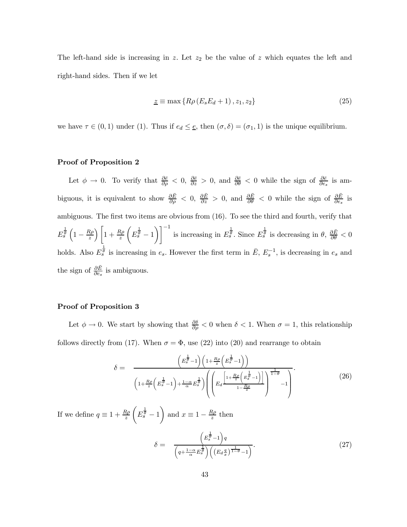The left-hand side is increasing in z. Let  $z_2$  be the value of z which equates the left and right-hand sides. Then if we let

$$
\underline{z} \equiv \max\left\{ R\rho \left( E_s E_d + 1 \right), z_1, z_2 \right\} \tag{25}
$$

we have  $\tau \in (0, 1)$  under (1). Thus if  $e_d \leq \underline{e}$ , then  $(\sigma, \delta) = (\sigma_1, 1)$  is the unique equilibrium.

#### Proof of Proposition 2

Let  $\phi \to 0$ . To verify that  $\frac{\partial \bar{e}}{\partial \rho} < 0$ ,  $\frac{\partial \bar{e}}{\partial z} > 0$ , and  $\frac{\partial \bar{e}}{\partial \theta} < 0$  while the sign of  $\frac{\partial \bar{e}}{\partial e_s}$  is ambiguous, it is equivalent to show  $\frac{\partial \bar{E}}{\partial \rho} < 0$ ,  $\frac{\partial \bar{E}}{\partial z} > 0$ , and  $\frac{\partial \bar{E}}{\partial \theta} < 0$  while the sign of  $\frac{\partial \bar{E}}{\partial \epsilon_s}$  is ambiguous. The first two items are obvious from (16). To see the third and fourth, verify that  $E_s^{\frac{1}{\theta}}\left(1-\frac{R\rho}{z}\right)$  $\Big) \Big[ 1 + \frac{R\rho}{z}$  $\sqrt{ }$  $E_s^{\frac{1}{\theta}}-1$  $\setminus$ ]<sup>-1</sup> is increasing in  $E_s^{\frac{1}{\theta}}$ . Since  $E_s^{\frac{1}{\theta}}$  is decreasing in  $\theta$ ,  $\frac{\partial \bar{E}}{\partial \theta} < 0$ holds. Also  $E_s^{\frac{1}{\theta}}$  is increasing in  $e_s$ . However the first term in  $\bar{E}$ ,  $E_s^{-1}$ , is decreasing in  $e_s$  and the sign of  $\frac{\partial \bar{E}}{\partial e_s}$  is ambiguous.

# Proof of Proposition 3

Let  $\phi \to 0$ . We start by showing that  $\frac{\partial \delta}{\partial \rho} < 0$  when  $\delta < 1$ . When  $\sigma = 1$ , this relationship follows directly from (17). When  $\sigma = \Phi$ , use (22) into (20) and rearrange to obtain

$$
\delta = \frac{\left(E_s^{\frac{1}{\theta}} - 1\right)\left(1 + \frac{R\rho}{z}\left(E_s^{\frac{1}{\theta}} - 1\right)\right)}{\left(1 + \frac{R\rho}{z}\left(E_s^{\frac{1}{\theta}} - 1\right) + \frac{1 - \alpha}{\alpha}E_s^{\frac{1}{\theta}}\right)\left(\left(E_d^{\left[\frac{1}{\theta} + \frac{R\rho}{z}\left(E_s^{\frac{1}{\theta}} - 1\right)\right]}\right)^{\frac{1}{1 - \theta}} - 1\right)}.
$$
\n(26)

If we define  $q \equiv 1 + \frac{R\rho}{z}$  $\sqrt{ }$  $E_s^{\frac{1}{\theta}}-1$ ) and  $x \equiv 1 - \frac{R\rho}{z}$  then

$$
\delta = \frac{\left(E_s^{\frac{1}{\theta}} - 1\right)q}{\left(q + \frac{1 - \alpha}{\alpha} E_s^{\frac{1}{\theta}}\right) \left(\left(E_d \frac{q}{x}\right)^{\frac{1}{1 - \theta}} - 1\right)}.
$$
\n(27)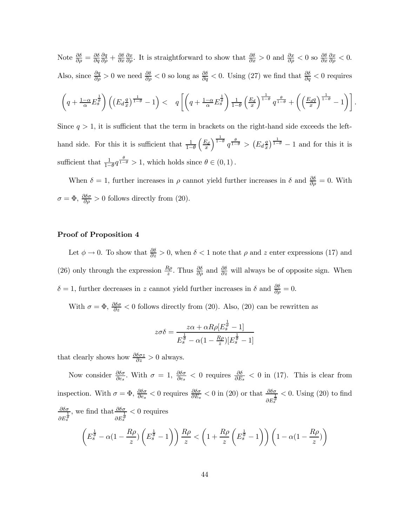Note  $\frac{\partial \delta}{\partial \rho} = \frac{\partial \delta}{\partial q}$  $\frac{\partial q}{\partial \rho}+\frac{\partial \delta}{\partial x}$  $\frac{\partial x}{\partial \rho}$ . It is straightforward to show that  $\frac{\partial \delta}{\partial x} > 0$  and  $\frac{\partial x}{\partial \rho} < 0$  so  $\frac{\partial \delta}{\partial x}$  $\frac{\partial x}{\partial \rho} < 0.$ Also, since  $\frac{\partial q}{\partial \rho} > 0$  we need  $\frac{\partial \delta}{\partial \rho} < 0$  so long as  $\frac{\partial \delta}{\partial q} < 0$ . Using (27) we find that  $\frac{\partial \delta}{\partial q} < 0$  requires  $\left(q + \frac{1-\alpha}{\alpha} E_s^{\frac{1}{\theta}}\right) \left((E_d \frac{q}{x}\right)$  $\left( q + \frac{1-\alpha}{\alpha} E_s^{\frac{1}{\theta}} \right) < \quad q \left[ \left( q + \frac{1-\alpha}{\alpha} E_s^{\frac{1}{\theta}} \right) \right]$  $\frac{1}{1}$  $1-\theta$  $\left(\frac{E_d}{x}\right)$  $\int^{\frac{1}{1-\theta}} q^{\frac{\theta}{1-\theta}} + \left( \frac{E_d q}{x} \right)$  $\left[\begin{matrix} \frac{1}{1-\theta} & -1 \end{matrix}\right]$ . Since  $q > 1$ , it is sufficient that the term in brackets on the right-hand side exceeds the left-

hand side. For this it is sufficient that  $\frac{1}{1-\theta}$  $\left(\frac{E_d}{x}\right)$  $\int^{\frac{1}{1-\theta}} q^{\frac{\theta}{1-\theta}} > (E_d \frac{q}{x})$  $\left(\frac{q}{x}\right)^{\frac{1}{1-\theta}}-1$  and for this it is sufficient that  $\frac{1}{1-\theta}q^{\frac{\theta}{1-\theta}}>1$ , which holds since  $\theta \in (0,1)$ .

When  $\delta = 1$ , further increases in  $\rho$  cannot yield further increases in  $\delta$  and  $\frac{\partial \delta}{\partial \rho} = 0$ . With  $\sigma = \Phi$ ,  $\frac{\partial \delta \sigma}{\partial \rho} > 0$  follows directly from (20).

#### Proof of Proposition 4

Let  $\phi \to 0$ . To show that  $\frac{\partial \delta}{\partial z} > 0$ , when  $\delta < 1$  note that  $\rho$  and z enter expressions (17) and (26) only through the expression  $\frac{R\rho}{z}$ . Thus  $\frac{\partial \delta}{\partial \rho}$  and  $\frac{\partial \delta}{\partial z}$  will always be of opposite sign. When  $\delta = 1$ , further decreases in z cannot yield further increases in  $\delta$  and  $\frac{\partial \delta}{\partial \rho} = 0$ .

With  $\sigma = \Phi$ ,  $\frac{\partial \delta \sigma}{\partial z} < 0$  follows directly from (20). Also, (20) can be rewritten as

$$
z\sigma\delta = \frac{z\alpha + \alpha R\rho [E_s^{\frac{1}{\theta}} - 1]}{E_s^{\frac{1}{\theta}} - \alpha(1 - \frac{R\rho}{z})[E_s^{\frac{1}{\theta}} - 1]}
$$

that clearly shows how  $\frac{\partial \delta \sigma z}{\partial z} > 0$  always.

Now consider  $\frac{\partial \delta \sigma}{\partial e_s}$ . With  $\sigma = 1$ ,  $\frac{\partial \delta \sigma}{\partial e_s} < 0$  requires  $\frac{\partial \delta}{\partial E_s} < 0$  in (17). This is clear from inspection. With  $\sigma = \Phi$ ,  $\frac{\partial \delta \sigma}{\partial e_s} < 0$  requires  $\frac{\partial \delta \sigma}{\partial E_s} < 0$  in (20) or that  $\frac{\partial \delta \sigma}{\partial E_s^{\frac{1}{\theta}}}$  $< 0$ . Using  $(20)$  to find ∂δσ  $\partial E_s^{\frac{1}{\theta}}$ , we find that  $\frac{\partial \delta \sigma}{\partial x}$  $\partial E_s^{\frac{1}{\theta}}$ < 0 requires

$$
\left(E_s^{\frac{1}{\theta}} - \alpha(1 - \frac{R\rho}{z})\left(E_s^{\frac{1}{\theta}} - 1\right)\right)\frac{R\rho}{z} < \left(1 + \frac{R\rho}{z}\left(E_s^{\frac{1}{\theta}} - 1\right)\right)\left(1 - \alpha(1 - \frac{R\rho}{z})\right)
$$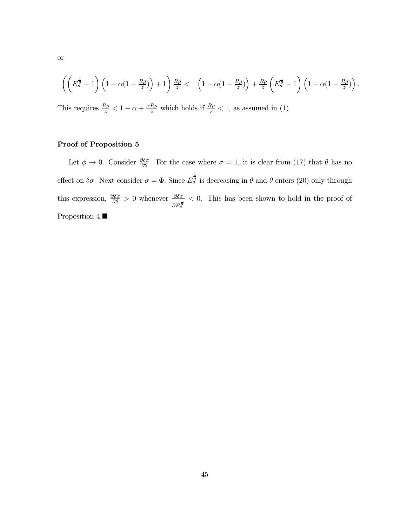$$
\left( \left( E_s^{\frac{1}{\theta}} - 1 \right) \left( 1 - \alpha \left( 1 - \frac{R\rho}{z} \right) \right) + 1 \right) \frac{R\rho}{z} < \left( 1 - \alpha \left( 1 - \frac{R\rho}{z} \right) \right) + \frac{R\rho}{z} \left( E_s^{\frac{1}{\theta}} - 1 \right) \left( 1 - \alpha \left( 1 - \frac{R\rho}{z} \right) \right).
$$

This requires  $\frac{R\rho}{z} < 1 - \alpha + \frac{\alpha R\rho}{z}$  which holds if  $\frac{R\rho}{z} < 1$ , as assumed in (1).

# Proof of Proposition 5

Let  $\phi \to 0$ . Consider  $\frac{\partial \delta \sigma}{\partial \theta}$ . For the case where  $\sigma = 1$ , it is clear from (17) that  $\theta$  has no effect on  $\delta\sigma$ . Next consider  $\sigma = \Phi$ . Since  $E_s^{\frac{1}{\theta}}$  is decreasing in  $\theta$  and  $\theta$  enters (20) only through this expression,  $\frac{\partial \delta \sigma}{\partial \theta} > 0$  whenever  $\frac{\partial \delta \sigma}{\partial E_s^{\frac{1}{g}}}$ < 0. This has been shown to hold in the proof of Proposition 4.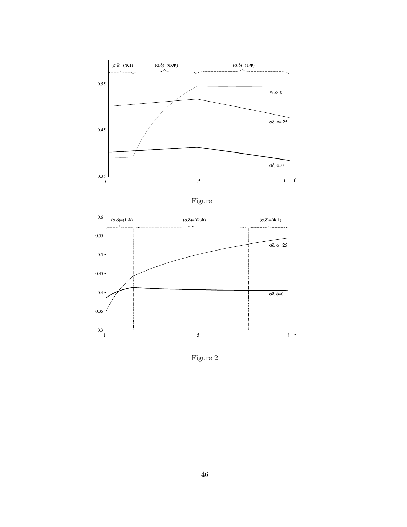





Figure 2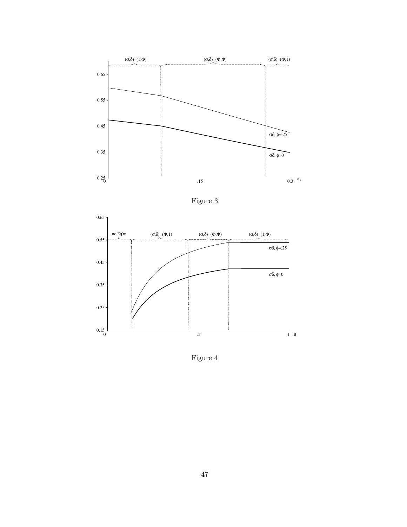

Figure 3



Figure 4